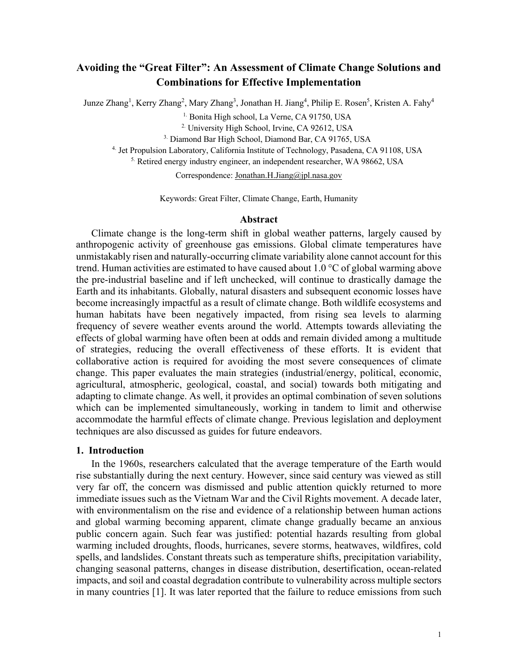# **Avoiding the "Great Filter": An Assessment of Climate Change Solutions and Combinations for Effective Implementation**

Junze Zhang<sup>1</sup>, Kerry Zhang<sup>2</sup>, Mary Zhang<sup>3</sup>, Jonathan H. Jiang<sup>4</sup>, Philip E. Rosen<sup>5</sup>, Kristen A. Fahy<sup>4</sup>

<sup>1.</sup> Bonita High school, La Verne, CA 91750, USA

<sup>2.</sup> University High School, Irvine, CA 92612, USA

3. Diamond Bar High School, Diamond Bar, CA 91765, USA

4. Jet Propulsion Laboratory, California Institute of Technology, Pasadena, CA 91108, USA

5. Retired energy industry engineer, an independent researcher, WA 98662, USA

Correspondence: Jonathan.H.Jiang@jpl.nasa.gov

Keywords: Great Filter, Climate Change, Earth, Humanity

# **Abstract**

Climate change is the long-term shift in global weather patterns, largely caused by anthropogenic activity of greenhouse gas emissions. Global climate temperatures have unmistakably risen and naturally-occurring climate variability alone cannot account for this trend. Human activities are estimated to have caused about 1.0 °C of global warming above the pre-industrial baseline and if left unchecked, will continue to drastically damage the Earth and its inhabitants. Globally, natural disasters and subsequent economic losses have become increasingly impactful as a result of climate change. Both wildlife ecosystems and human habitats have been negatively impacted, from rising sea levels to alarming frequency of severe weather events around the world. Attempts towards alleviating the effects of global warming have often been at odds and remain divided among a multitude of strategies, reducing the overall effectiveness of these efforts. It is evident that collaborative action is required for avoiding the most severe consequences of climate change. This paper evaluates the main strategies (industrial/energy, political, economic, agricultural, atmospheric, geological, coastal, and social) towards both mitigating and adapting to climate change. As well, it provides an optimal combination of seven solutions which can be implemented simultaneously, working in tandem to limit and otherwise accommodate the harmful effects of climate change. Previous legislation and deployment techniques are also discussed as guides for future endeavors.

# **1. Introduction**

In the 1960s, researchers calculated that the average temperature of the Earth would rise substantially during the next century. However, since said century was viewed as still very far off, the concern was dismissed and public attention quickly returned to more immediate issues such as the Vietnam War and the Civil Rights movement. A decade later, with environmentalism on the rise and evidence of a relationship between human actions and global warming becoming apparent, climate change gradually became an anxious public concern again. Such fear was justified: potential hazards resulting from global warming included droughts, floods, hurricanes, severe storms, heatwaves, wildfires, cold spells, and landslides. Constant threats such as temperature shifts, precipitation variability, changing seasonal patterns, changes in disease distribution, desertification, ocean-related impacts, and soil and coastal degradation contribute to vulnerability across multiple sectors in many countries [1]. It was later reported that the failure to reduce emissions from such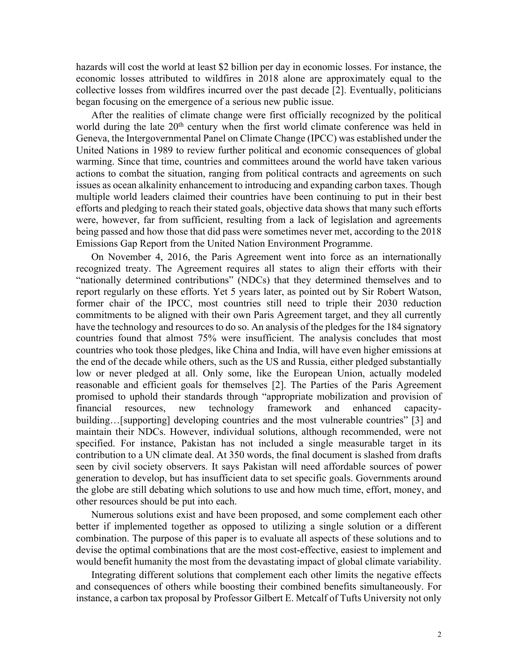hazards will cost the world at least \$2 billion per day in economic losses. For instance, the economic losses attributed to wildfires in 2018 alone are approximately equal to the collective losses from wildfires incurred over the past decade [2]. Eventually, politicians began focusing on the emergence of a serious new public issue.

After the realities of climate change were first officially recognized by the political world during the late 20<sup>th</sup> century when the first world climate conference was held in Geneva, the Intergovernmental Panel on Climate Change (IPCC) was established under the United Nations in 1989 to review further political and economic consequences of global warming. Since that time, countries and committees around the world have taken various actions to combat the situation, ranging from political contracts and agreements on such issues as ocean alkalinity enhancement to introducing and expanding carbon taxes. Though multiple world leaders claimed their countries have been continuing to put in their best efforts and pledging to reach their stated goals, objective data shows that many such efforts were, however, far from sufficient, resulting from a lack of legislation and agreements being passed and how those that did pass were sometimes never met, according to the 2018 Emissions Gap Report from the United Nation Environment Programme.

On November 4, 2016, the Paris Agreement went into force as an internationally recognized treaty. The Agreement requires all states to align their efforts with their "nationally determined contributions" (NDCs) that they determined themselves and to report regularly on these efforts. Yet 5 years later, as pointed out by Sir Robert Watson, former chair of the IPCC, most countries still need to triple their 2030 reduction commitments to be aligned with their own Paris Agreement target, and they all currently have the technology and resources to do so. An analysis of the pledges for the 184 signatory countries found that almost 75% were insufficient. The analysis concludes that most countries who took those pledges, like China and India, will have even higher emissions at the end of the decade while others, such as the US and Russia, either pledged substantially low or never pledged at all. Only some, like the European Union, actually modeled reasonable and efficient goals for themselves [2]. The Parties of the Paris Agreement promised to uphold their standards through "appropriate mobilization and provision of financial resources, new technology framework and enhanced capacitybuilding…[supporting] developing countries and the most vulnerable countries" [3] and maintain their NDCs. However, individual solutions, although recommended, were not specified. For instance, Pakistan has not included a single measurable target in its contribution to a UN climate deal. At 350 words, the final document is slashed from drafts seen by civil society observers. It says Pakistan will need affordable sources of power generation to develop, but has insufficient data to set specific goals. Governments around the globe are still debating which solutions to use and how much time, effort, money, and other resources should be put into each.

Numerous solutions exist and have been proposed, and some complement each other better if implemented together as opposed to utilizing a single solution or a different combination. The purpose of this paper is to evaluate all aspects of these solutions and to devise the optimal combinations that are the most cost-effective, easiest to implement and would benefit humanity the most from the devastating impact of global climate variability.

Integrating different solutions that complement each other limits the negative effects and consequences of others while boosting their combined benefits simultaneously. For instance, a carbon tax proposal by Professor Gilbert E. Metcalf of Tufts University not only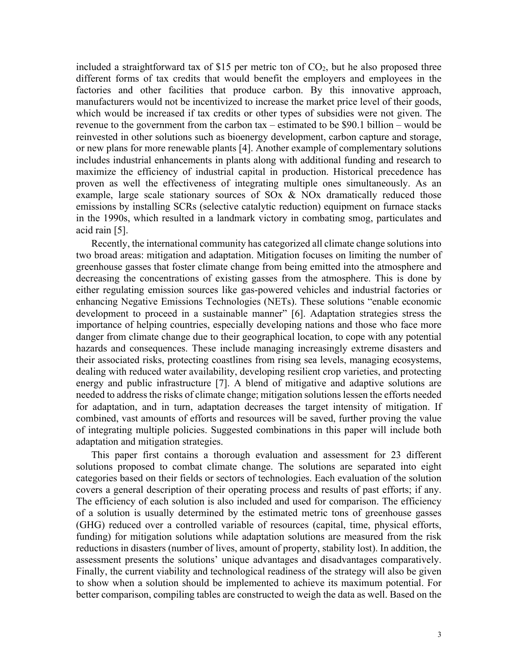included a straightforward tax of \$15 per metric ton of  $CO<sub>2</sub>$ , but he also proposed three different forms of tax credits that would benefit the employers and employees in the factories and other facilities that produce carbon. By this innovative approach, manufacturers would not be incentivized to increase the market price level of their goods, which would be increased if tax credits or other types of subsidies were not given. The revenue to the government from the carbon tax – estimated to be \$90.1 billion – would be reinvested in other solutions such as bioenergy development, carbon capture and storage, or new plans for more renewable plants [4]. Another example of complementary solutions includes industrial enhancements in plants along with additional funding and research to maximize the efficiency of industrial capital in production. Historical precedence has proven as well the effectiveness of integrating multiple ones simultaneously. As an example, large scale stationary sources of SOx & NOx dramatically reduced those emissions by installing SCRs (selective catalytic reduction) equipment on furnace stacks in the 1990s, which resulted in a landmark victory in combating smog, particulates and acid rain [5].

Recently, the international community has categorized all climate change solutions into two broad areas: mitigation and adaptation. Mitigation focuses on limiting the number of greenhouse gasses that foster climate change from being emitted into the atmosphere and decreasing the concentrations of existing gasses from the atmosphere. This is done by either regulating emission sources like gas-powered vehicles and industrial factories or enhancing Negative Emissions Technologies (NETs). These solutions "enable economic development to proceed in a sustainable manner" [6]. Adaptation strategies stress the importance of helping countries, especially developing nations and those who face more danger from climate change due to their geographical location, to cope with any potential hazards and consequences. These include managing increasingly extreme disasters and their associated risks, protecting coastlines from rising sea levels, managing ecosystems, dealing with reduced water availability, developing resilient crop varieties, and protecting energy and public infrastructure [7]. A blend of mitigative and adaptive solutions are needed to address the risks of climate change; mitigation solutions lessen the efforts needed for adaptation, and in turn, adaptation decreases the target intensity of mitigation. If combined, vast amounts of efforts and resources will be saved, further proving the value of integrating multiple policies. Suggested combinations in this paper will include both adaptation and mitigation strategies.

This paper first contains a thorough evaluation and assessment for 23 different solutions proposed to combat climate change. The solutions are separated into eight categories based on their fields or sectors of technologies. Each evaluation of the solution covers a general description of their operating process and results of past efforts; if any. The efficiency of each solution is also included and used for comparison. The efficiency of a solution is usually determined by the estimated metric tons of greenhouse gasses (GHG) reduced over a controlled variable of resources (capital, time, physical efforts, funding) for mitigation solutions while adaptation solutions are measured from the risk reductions in disasters (number of lives, amount of property, stability lost). In addition, the assessment presents the solutions' unique advantages and disadvantages comparatively. Finally, the current viability and technological readiness of the strategy will also be given to show when a solution should be implemented to achieve its maximum potential. For better comparison, compiling tables are constructed to weigh the data as well. Based on the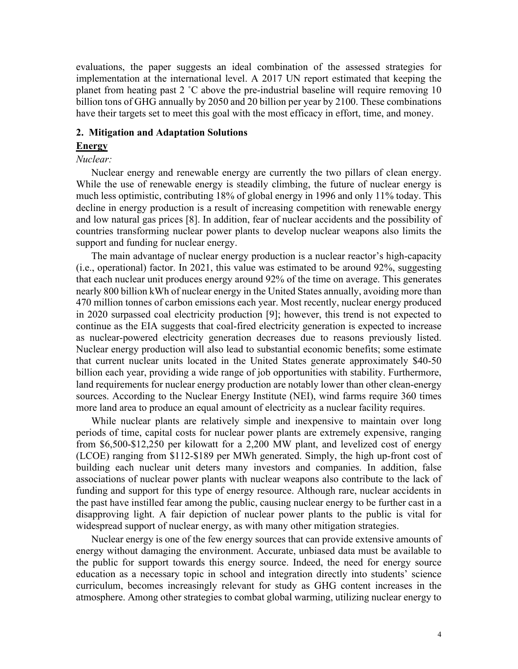evaluations, the paper suggests an ideal combination of the assessed strategies for implementation at the international level. A 2017 UN report estimated that keeping the planet from heating past 2 ˚C above the pre-industrial baseline will require removing 10 billion tons of GHG annually by 2050 and 20 billion per year by 2100. These combinations have their targets set to meet this goal with the most efficacy in effort, time, and money.

### **2. Mitigation and Adaptation Solutions**

# **Energy**

# *Nuclear:*

Nuclear energy and renewable energy are currently the two pillars of clean energy. While the use of renewable energy is steadily climbing, the future of nuclear energy is much less optimistic, contributing 18% of global energy in 1996 and only 11% today. This decline in energy production is a result of increasing competition with renewable energy and low natural gas prices [8]. In addition, fear of nuclear accidents and the possibility of countries transforming nuclear power plants to develop nuclear weapons also limits the support and funding for nuclear energy.

The main advantage of nuclear energy production is a nuclear reactor's high-capacity (i.e., operational) factor. In 2021, this value was estimated to be around 92%, suggesting that each nuclear unit produces energy around 92% of the time on average. This generates nearly 800 billion kWh of nuclear energy in the United States annually, avoiding more than 470 million tonnes of carbon emissions each year. Most recently, nuclear energy produced in 2020 surpassed coal electricity production [9]; however, this trend is not expected to continue as the EIA suggests that coal-fired electricity generation is expected to increase as nuclear-powered electricity generation decreases due to reasons previously listed. Nuclear energy production will also lead to substantial economic benefits; some estimate that current nuclear units located in the United States generate approximately \$40-50 billion each year, providing a wide range of job opportunities with stability. Furthermore, land requirements for nuclear energy production are notably lower than other clean-energy sources. According to the Nuclear Energy Institute (NEI), wind farms require 360 times more land area to produce an equal amount of electricity as a nuclear facility requires.

While nuclear plants are relatively simple and inexpensive to maintain over long periods of time, capital costs for nuclear power plants are extremely expensive, ranging from \$6,500-\$12,250 per kilowatt for a 2,200 MW plant, and levelized cost of energy (LCOE) ranging from \$112-\$189 per MWh generated. Simply, the high up-front cost of building each nuclear unit deters many investors and companies. In addition, false associations of nuclear power plants with nuclear weapons also contribute to the lack of funding and support for this type of energy resource. Although rare, nuclear accidents in the past have instilled fear among the public, causing nuclear energy to be further cast in a disapproving light. A fair depiction of nuclear power plants to the public is vital for widespread support of nuclear energy, as with many other mitigation strategies.

Nuclear energy is one of the few energy sources that can provide extensive amounts of energy without damaging the environment. Accurate, unbiased data must be available to the public for support towards this energy source. Indeed, the need for energy source education as a necessary topic in school and integration directly into students' science curriculum, becomes increasingly relevant for study as GHG content increases in the atmosphere. Among other strategies to combat global warming, utilizing nuclear energy to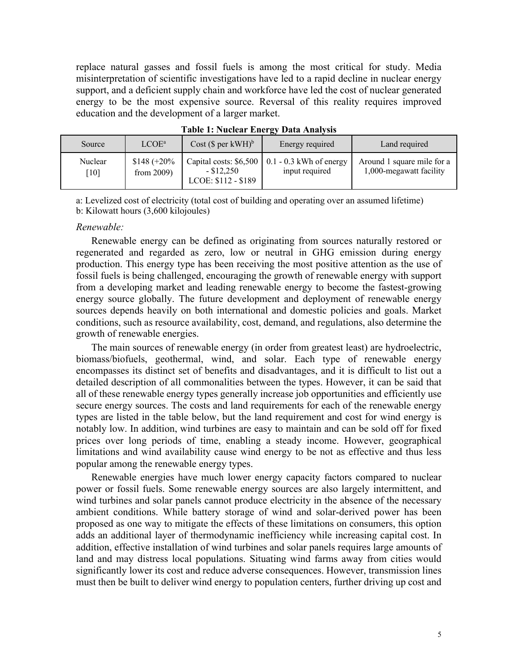replace natural gasses and fossil fuels is among the most critical for study. Media misinterpretation of scientific investigations have led to a rapid decline in nuclear energy support, and a deficient supply chain and workforce have led the cost of nuclear generated energy to be the most expensive source. Reversal of this reality requires improved education and the development of a larger market.

| Source  | LCOE <sup>a</sup> | $Cost$ (\$ per kWH) <sup>b</sup> | Energy required                                      | Land required              |
|---------|-------------------|----------------------------------|------------------------------------------------------|----------------------------|
| Nuclear | $$148 (+20\%$     | $-$ \$12,250                     | Capital costs: $$6,500 \mid 0.1 - 0.3$ kWh of energy | Around 1 square mile for a |
| $[10]$  | from $2009$ )     | LCOE: \$112 - \$189              | input required                                       | 1,000-megawatt facility    |

**Table 1: Nuclear Energy Data Analysis**

a: Levelized cost of electricity (total cost of building and operating over an assumed lifetime) b: Kilowatt hours (3,600 kilojoules)

### *Renewable:*

Renewable energy can be defined as originating from sources naturally restored or regenerated and regarded as zero, low or neutral in GHG emission during energy production. This energy type has been receiving the most positive attention as the use of fossil fuels is being challenged, encouraging the growth of renewable energy with support from a developing market and leading renewable energy to become the fastest-growing energy source globally. The future development and deployment of renewable energy sources depends heavily on both international and domestic policies and goals. Market conditions, such as resource availability, cost, demand, and regulations, also determine the growth of renewable energies.

The main sources of renewable energy (in order from greatest least) are hydroelectric, biomass/biofuels, geothermal, wind, and solar. Each type of renewable energy encompasses its distinct set of benefits and disadvantages, and it is difficult to list out a detailed description of all commonalities between the types. However, it can be said that all of these renewable energy types generally increase job opportunities and efficiently use secure energy sources. The costs and land requirements for each of the renewable energy types are listed in the table below, but the land requirement and cost for wind energy is notably low. In addition, wind turbines are easy to maintain and can be sold off for fixed prices over long periods of time, enabling a steady income. However, geographical limitations and wind availability cause wind energy to be not as effective and thus less popular among the renewable energy types.

Renewable energies have much lower energy capacity factors compared to nuclear power or fossil fuels. Some renewable energy sources are also largely intermittent, and wind turbines and solar panels cannot produce electricity in the absence of the necessary ambient conditions. While battery storage of wind and solar-derived power has been proposed as one way to mitigate the effects of these limitations on consumers, this option adds an additional layer of thermodynamic inefficiency while increasing capital cost. In addition, effective installation of wind turbines and solar panels requires large amounts of land and may distress local populations. Situating wind farms away from cities would significantly lower its cost and reduce adverse consequences. However, transmission lines must then be built to deliver wind energy to population centers, further driving up cost and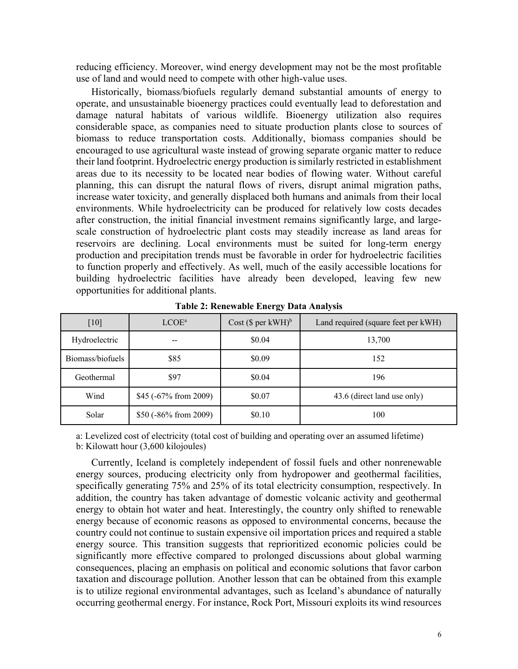reducing efficiency. Moreover, wind energy development may not be the most profitable use of land and would need to compete with other high-value uses.

Historically, biomass/biofuels regularly demand substantial amounts of energy to operate, and unsustainable bioenergy practices could eventually lead to deforestation and damage natural habitats of various wildlife. Bioenergy utilization also requires considerable space, as companies need to situate production plants close to sources of biomass to reduce transportation costs. Additionally, biomass companies should be encouraged to use agricultural waste instead of growing separate organic matter to reduce their land footprint. Hydroelectric energy production is similarly restricted in establishment areas due to its necessity to be located near bodies of flowing water. Without careful planning, this can disrupt the natural flows of rivers, disrupt animal migration paths, increase water toxicity, and generally displaced both humans and animals from their local environments. While hydroelectricity can be produced for relatively low costs decades after construction, the initial financial investment remains significantly large, and largescale construction of hydroelectric plant costs may steadily increase as land areas for reservoirs are declining. Local environments must be suited for long-term energy production and precipitation trends must be favorable in order for hydroelectric facilities to function properly and effectively. As well, much of the easily accessible locations for building hydroelectric facilities have already been developed, leaving few new opportunities for additional plants.

| [10]             | LCOE <sup>a</sup>      | $Cost$ (\$ per kWH) <sup>b</sup> | Land required (square feet per kWH) |
|------------------|------------------------|----------------------------------|-------------------------------------|
| Hydroelectric    | --                     | \$0.04                           | 13,700                              |
| Biomass/biofuels | \$85                   | \$0.09                           | 152                                 |
| Geothermal       | \$97                   | \$0.04                           | 196                                 |
| Wind             | $$45$ (-67% from 2009) | \$0.07                           | 43.6 (direct land use only)         |
| Solar            | \$50 (-86% from 2009)  | \$0.10                           | 100                                 |
|                  |                        |                                  |                                     |

**Table 2: Renewable Energy Data Analysis**

a: Levelized cost of electricity (total cost of building and operating over an assumed lifetime) b: Kilowatt hour (3,600 kilojoules)

Currently, Iceland is completely independent of fossil fuels and other nonrenewable energy sources, producing electricity only from hydropower and geothermal facilities, specifically generating 75% and 25% of its total electricity consumption, respectively. In addition, the country has taken advantage of domestic volcanic activity and geothermal energy to obtain hot water and heat. Interestingly, the country only shifted to renewable energy because of economic reasons as opposed to environmental concerns, because the country could not continue to sustain expensive oil importation prices and required a stable energy source. This transition suggests that reprioritized economic policies could be significantly more effective compared to prolonged discussions about global warming consequences, placing an emphasis on political and economic solutions that favor carbon taxation and discourage pollution. Another lesson that can be obtained from this example is to utilize regional environmental advantages, such as Iceland's abundance of naturally occurring geothermal energy. For instance, Rock Port, Missouri exploits its wind resources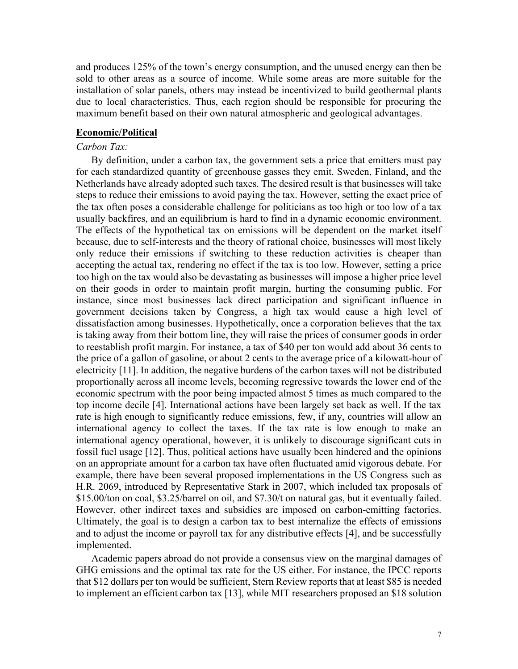and produces 125% of the town's energy consumption, and the unused energy can then be sold to other areas as a source of income. While some areas are more suitable for the installation of solar panels, others may instead be incentivized to build geothermal plants due to local characteristics. Thus, each region should be responsible for procuring the maximum benefit based on their own natural atmospheric and geological advantages.

#### **Economic/Political**

# *Carbon Tax:*

By definition, under a carbon tax, the government sets a price that emitters must pay for each standardized quantity of greenhouse gasses they emit. Sweden, Finland, and the Netherlands have already adopted such taxes. The desired result is that businesses will take steps to reduce their emissions to avoid paying the tax. However, setting the exact price of the tax often poses a considerable challenge for politicians as too high or too low of a tax usually backfires, and an equilibrium is hard to find in a dynamic economic environment. The effects of the hypothetical tax on emissions will be dependent on the market itself because, due to self-interests and the theory of rational choice, businesses will most likely only reduce their emissions if switching to these reduction activities is cheaper than accepting the actual tax, rendering no effect if the tax is too low. However, setting a price too high on the tax would also be devastating as businesses will impose a higher price level on their goods in order to maintain profit margin, hurting the consuming public. For instance, since most businesses lack direct participation and significant influence in government decisions taken by Congress, a high tax would cause a high level of dissatisfaction among businesses. Hypothetically, once a corporation believes that the tax is taking away from their bottom line, they will raise the prices of consumer goods in order to reestablish profit margin. For instance, a tax of \$40 per ton would add about 36 cents to the price of a gallon of gasoline, or about 2 cents to the average price of a kilowatt-hour of electricity [11]. In addition, the negative burdens of the carbon taxes will not be distributed proportionally across all income levels, becoming regressive towards the lower end of the economic spectrum with the poor being impacted almost 5 times as much compared to the top income decile [4]. International actions have been largely set back as well. If the tax rate is high enough to significantly reduce emissions, few, if any, countries will allow an international agency to collect the taxes. If the tax rate is low enough to make an international agency operational, however, it is unlikely to discourage significant cuts in fossil fuel usage [12]. Thus, political actions have usually been hindered and the opinions on an appropriate amount for a carbon tax have often fluctuated amid vigorous debate. For example, there have been several proposed implementations in the US Congress such as H.R. 2069, introduced by Representative Stark in 2007, which included tax proposals of \$15.00/ton on coal, \$3.25/barrel on oil, and \$7.30/t on natural gas, but it eventually failed. However, other indirect taxes and subsidies are imposed on carbon-emitting factories. Ultimately, the goal is to design a carbon tax to best internalize the effects of emissions and to adjust the income or payroll tax for any distributive effects [4], and be successfully implemented.

Academic papers abroad do not provide a consensus view on the marginal damages of GHG emissions and the optimal tax rate for the US either. For instance, the IPCC reports that \$12 dollars per ton would be sufficient, Stern Review reports that at least \$85 is needed to implement an efficient carbon tax [13], while MIT researchers proposed an \$18 solution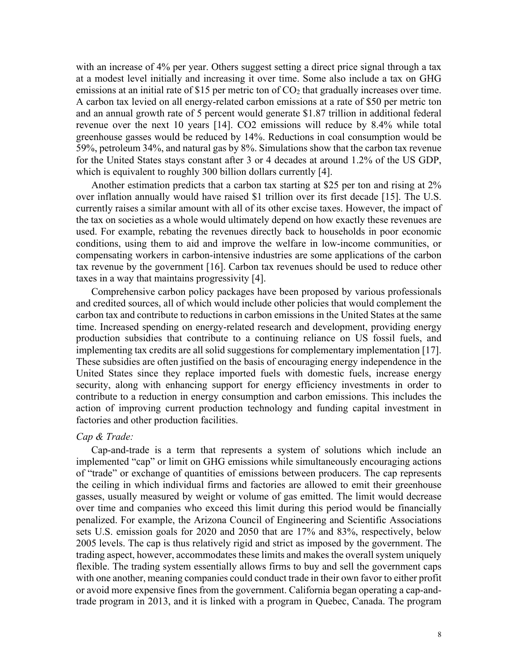with an increase of 4% per year. Others suggest setting a direct price signal through a tax at a modest level initially and increasing it over time. Some also include a tax on GHG emissions at an initial rate of \$15 per metric ton of  $CO<sub>2</sub>$  that gradually increases over time. A carbon tax levied on all energy-related carbon emissions at a rate of \$50 per metric ton and an annual growth rate of 5 percent would generate \$1.87 trillion in additional federal revenue over the next 10 years [14]. CO2 emissions will reduce by 8.4% while total greenhouse gasses would be reduced by 14%. Reductions in coal consumption would be 59%, petroleum 34%, and natural gas by 8%. Simulations show that the carbon tax revenue for the United States stays constant after 3 or 4 decades at around 1.2% of the US GDP, which is equivalent to roughly 300 billion dollars currently [4].

Another estimation predicts that a carbon tax starting at \$25 per ton and rising at 2% over inflation annually would have raised \$1 trillion over its first decade [15]. The U.S. currently raises a similar amount with all of its other excise taxes. However, the impact of the tax on societies as a whole would ultimately depend on how exactly these revenues are used. For example, rebating the revenues directly back to households in poor economic conditions, using them to aid and improve the welfare in low-income communities, or compensating workers in carbon-intensive industries are some applications of the carbon tax revenue by the government [16]. Carbon tax revenues should be used to reduce other taxes in a way that maintains progressivity [4].

Comprehensive carbon policy packages have been proposed by various professionals and credited sources, all of which would include other policies that would complement the carbon tax and contribute to reductions in carbon emissions in the United States at the same time. Increased spending on energy-related research and development, providing energy production subsidies that contribute to a continuing reliance on US fossil fuels, and implementing tax credits are all solid suggestions for complementary implementation [17]. These subsidies are often justified on the basis of encouraging energy independence in the United States since they replace imported fuels with domestic fuels, increase energy security, along with enhancing support for energy efficiency investments in order to contribute to a reduction in energy consumption and carbon emissions. This includes the action of improving current production technology and funding capital investment in factories and other production facilities.

#### *Cap & Trade:*

Cap-and-trade is a term that represents a system of solutions which include an implemented "cap" or limit on GHG emissions while simultaneously encouraging actions of "trade" or exchange of quantities of emissions between producers. The cap represents the ceiling in which individual firms and factories are allowed to emit their greenhouse gasses, usually measured by weight or volume of gas emitted. The limit would decrease over time and companies who exceed this limit during this period would be financially penalized. For example, the Arizona Council of Engineering and Scientific Associations sets U.S. emission goals for 2020 and 2050 that are 17% and 83%, respectively, below 2005 levels. The cap is thus relatively rigid and strict as imposed by the government. The trading aspect, however, accommodates these limits and makes the overall system uniquely flexible. The trading system essentially allows firms to buy and sell the government caps with one another, meaning companies could conduct trade in their own favor to either profit or avoid more expensive fines from the government. California began operating a cap-andtrade program in 2013, and it is linked with a program in Quebec, Canada. The program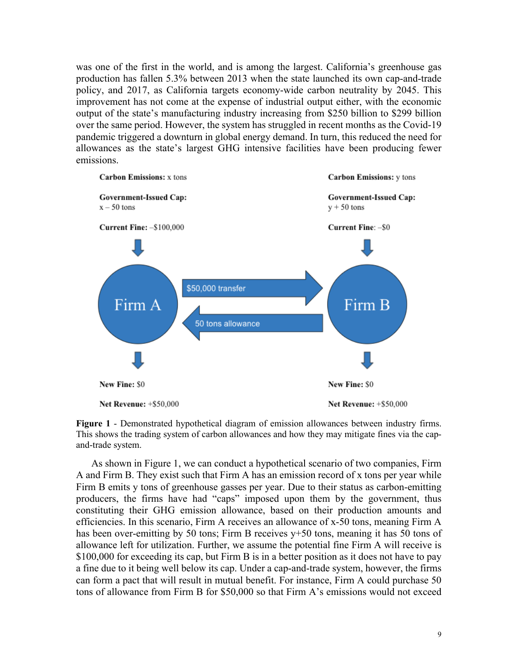was one of the first in the world, and is among the largest. California's greenhouse gas production has fallen 5.3% between 2013 when the state launched its own cap-and-trade policy, and 2017, as California targets economy-wide carbon neutrality by 2045. This improvement has not come at the expense of industrial output either, with the economic output of the state's manufacturing industry increasing from \$250 billion to \$299 billion over the same period. However, the system has struggled in recent months as the Covid-19 pandemic triggered a downturn in global energy demand. In turn, this reduced the need for allowances as the state's largest GHG intensive facilities have been producing fewer emissions.



**Figure 1** - Demonstrated hypothetical diagram of emission allowances between industry firms. This shows the trading system of carbon allowances and how they may mitigate fines via the capand-trade system.

As shown in Figure 1, we can conduct a hypothetical scenario of two companies, Firm A and Firm B. They exist such that Firm A has an emission record of x tons per year while Firm B emits y tons of greenhouse gasses per year. Due to their status as carbon-emitting producers, the firms have had "caps" imposed upon them by the government, thus constituting their GHG emission allowance, based on their production amounts and efficiencies. In this scenario, Firm A receives an allowance of x-50 tons, meaning Firm A has been over-emitting by 50 tons; Firm B receives y+50 tons, meaning it has 50 tons of allowance left for utilization. Further, we assume the potential fine Firm A will receive is \$100,000 for exceeding its cap, but Firm B is in a better position as it does not have to pay a fine due to it being well below its cap. Under a cap-and-trade system, however, the firms can form a pact that will result in mutual benefit. For instance, Firm A could purchase 50 tons of allowance from Firm B for \$50,000 so that Firm A's emissions would not exceed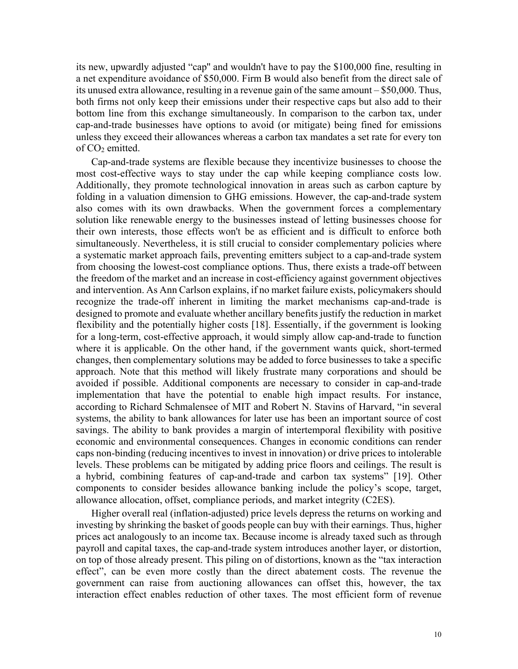its new, upwardly adjusted "cap'' and wouldn't have to pay the \$100,000 fine, resulting in a net expenditure avoidance of \$50,000. Firm B would also benefit from the direct sale of its unused extra allowance, resulting in a revenue gain of the same amount – \$50,000. Thus, both firms not only keep their emissions under their respective caps but also add to their bottom line from this exchange simultaneously. In comparison to the carbon tax, under cap-and-trade businesses have options to avoid (or mitigate) being fined for emissions unless they exceed their allowances whereas a carbon tax mandates a set rate for every ton of CO<sub>2</sub> emitted.

Cap-and-trade systems are flexible because they incentivize businesses to choose the most cost-effective ways to stay under the cap while keeping compliance costs low. Additionally, they promote technological innovation in areas such as carbon capture by folding in a valuation dimension to GHG emissions. However, the cap-and-trade system also comes with its own drawbacks. When the government forces a complementary solution like renewable energy to the businesses instead of letting businesses choose for their own interests, those effects won't be as efficient and is difficult to enforce both simultaneously. Nevertheless, it is still crucial to consider complementary policies where a systematic market approach fails, preventing emitters subject to a cap-and-trade system from choosing the lowest-cost compliance options. Thus, there exists a trade-off between the freedom of the market and an increase in cost-efficiency against government objectives and intervention. As Ann Carlson explains, if no market failure exists, policymakers should recognize the trade-off inherent in limiting the market mechanisms cap-and-trade is designed to promote and evaluate whether ancillary benefits justify the reduction in market flexibility and the potentially higher costs [18]. Essentially, if the government is looking for a long-term, cost-effective approach, it would simply allow cap-and-trade to function where it is applicable. On the other hand, if the government wants quick, short-termed changes, then complementary solutions may be added to force businesses to take a specific approach. Note that this method will likely frustrate many corporations and should be avoided if possible. Additional components are necessary to consider in cap-and-trade implementation that have the potential to enable high impact results. For instance, according to Richard Schmalensee of MIT and Robert N. Stavins of Harvard, "in several systems, the ability to bank allowances for later use has been an important source of cost savings. The ability to bank provides a margin of intertemporal flexibility with positive economic and environmental consequences. Changes in economic conditions can render caps non-binding (reducing incentives to invest in innovation) or drive prices to intolerable levels. These problems can be mitigated by adding price floors and ceilings. The result is a hybrid, combining features of cap-and-trade and carbon tax systems" [19]. Other components to consider besides allowance banking include the policy's scope, target, allowance allocation, offset, compliance periods, and market integrity (C2ES).

Higher overall real (inflation-adjusted) price levels depress the returns on working and investing by shrinking the basket of goods people can buy with their earnings. Thus, higher prices act analogously to an income tax. Because income is already taxed such as through payroll and capital taxes, the cap-and-trade system introduces another layer, or distortion, on top of those already present. This piling on of distortions, known as the "tax interaction effect", can be even more costly than the direct abatement costs. The revenue the government can raise from auctioning allowances can offset this, however, the tax interaction effect enables reduction of other taxes. The most efficient form of revenue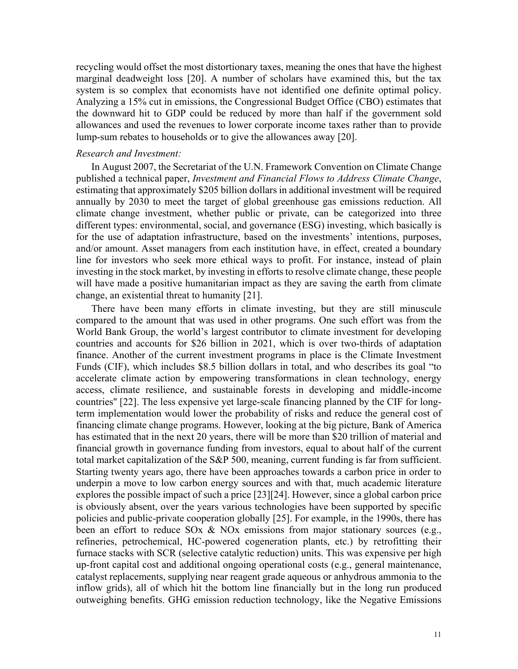recycling would offset the most distortionary taxes, meaning the ones that have the highest marginal deadweight loss [20]. A number of scholars have examined this, but the tax system is so complex that economists have not identified one definite optimal policy. Analyzing a 15% cut in emissions, the Congressional Budget Office (CBO) estimates that the downward hit to GDP could be reduced by more than half if the government sold allowances and used the revenues to lower corporate income taxes rather than to provide lump-sum rebates to households or to give the allowances away [20].

# *Research and Investment:*

In August 2007, the Secretariat of the U.N. Framework Convention on Climate Change published a technical paper, *Investment and Financial Flows to Address Climate Change*, estimating that approximately \$205 billion dollars in additional investment will be required annually by 2030 to meet the target of global greenhouse gas emissions reduction. All climate change investment, whether public or private, can be categorized into three different types: environmental, social, and governance (ESG) investing, which basically is for the use of adaptation infrastructure, based on the investments' intentions, purposes, and/or amount. Asset managers from each institution have, in effect, created a boundary line for investors who seek more ethical ways to profit. For instance, instead of plain investing in the stock market, by investing in efforts to resolve climate change, these people will have made a positive humanitarian impact as they are saving the earth from climate change, an existential threat to humanity [21].

There have been many efforts in climate investing, but they are still minuscule compared to the amount that was used in other programs. One such effort was from the World Bank Group, the world's largest contributor to climate investment for developing countries and accounts for \$26 billion in 2021, which is over two-thirds of adaptation finance. Another of the current investment programs in place is the Climate Investment Funds (CIF), which includes \$8.5 billion dollars in total, and who describes its goal "to accelerate climate action by empowering transformations in clean technology, energy access, climate resilience, and sustainable forests in developing and middle-income countries'' [22]. The less expensive yet large-scale financing planned by the CIF for longterm implementation would lower the probability of risks and reduce the general cost of financing climate change programs. However, looking at the big picture, Bank of America has estimated that in the next 20 years, there will be more than \$20 trillion of material and financial growth in governance funding from investors, equal to about half of the current total market capitalization of the S&P 500, meaning, current funding is far from sufficient. Starting twenty years ago, there have been approaches towards a carbon price in order to underpin a move to low carbon energy sources and with that, much academic literature explores the possible impact of such a price [23][24]. However, since a global carbon price is obviously absent, over the years various technologies have been supported by specific policies and public-private cooperation globally [25]. For example, in the 1990s, there has been an effort to reduce SOx & NOx emissions from major stationary sources (e.g., refineries, petrochemical, HC-powered cogeneration plants, etc.) by retrofitting their furnace stacks with SCR (selective catalytic reduction) units. This was expensive per high up-front capital cost and additional ongoing operational costs (e.g., general maintenance, catalyst replacements, supplying near reagent grade aqueous or anhydrous ammonia to the inflow grids), all of which hit the bottom line financially but in the long run produced outweighing benefits. GHG emission reduction technology, like the Negative Emissions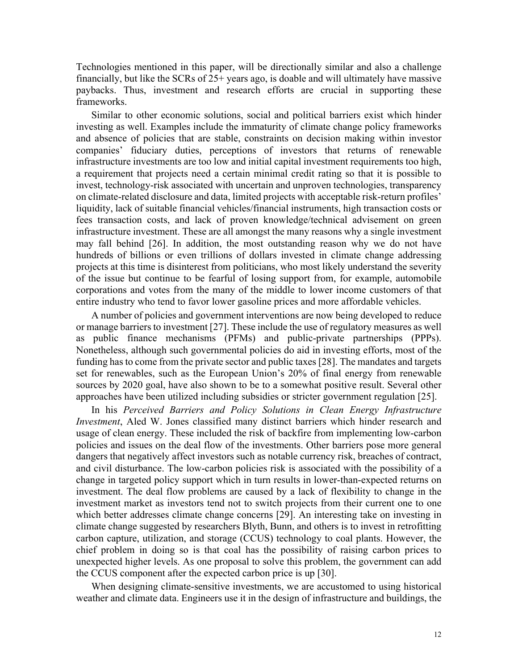Technologies mentioned in this paper, will be directionally similar and also a challenge financially, but like the SCRs of 25+ years ago, is doable and will ultimately have massive paybacks. Thus, investment and research efforts are crucial in supporting these frameworks.

Similar to other economic solutions, social and political barriers exist which hinder investing as well. Examples include the immaturity of climate change policy frameworks and absence of policies that are stable, constraints on decision making within investor companies' fiduciary duties, perceptions of investors that returns of renewable infrastructure investments are too low and initial capital investment requirements too high, a requirement that projects need a certain minimal credit rating so that it is possible to invest, technology-risk associated with uncertain and unproven technologies, transparency on climate-related disclosure and data, limited projects with acceptable risk-return profiles' liquidity, lack of suitable financial vehicles/financial instruments, high transaction costs or fees transaction costs, and lack of proven knowledge/technical advisement on green infrastructure investment. These are all amongst the many reasons why a single investment may fall behind [26]. In addition, the most outstanding reason why we do not have hundreds of billions or even trillions of dollars invested in climate change addressing projects at this time is disinterest from politicians, who most likely understand the severity of the issue but continue to be fearful of losing support from, for example, automobile corporations and votes from the many of the middle to lower income customers of that entire industry who tend to favor lower gasoline prices and more affordable vehicles.

A number of policies and government interventions are now being developed to reduce or manage barriers to investment [27]. These include the use of regulatory measures as well as public finance mechanisms (PFMs) and public-private partnerships (PPPs). Nonetheless, although such governmental policies do aid in investing efforts, most of the funding has to come from the private sector and public taxes [28]. The mandates and targets set for renewables, such as the European Union's 20% of final energy from renewable sources by 2020 goal, have also shown to be to a somewhat positive result. Several other approaches have been utilized including subsidies or stricter government regulation [25].

In his *Perceived Barriers and Policy Solutions in Clean Energy Infrastructure Investment*, Aled W. Jones classified many distinct barriers which hinder research and usage of clean energy. These included the risk of backfire from implementing low-carbon policies and issues on the deal flow of the investments. Other barriers pose more general dangers that negatively affect investors such as notable currency risk, breaches of contract, and civil disturbance. The low-carbon policies risk is associated with the possibility of a change in targeted policy support which in turn results in lower-than-expected returns on investment. The deal flow problems are caused by a lack of flexibility to change in the investment market as investors tend not to switch projects from their current one to one which better addresses climate change concerns [29]. An interesting take on investing in climate change suggested by researchers Blyth, Bunn, and others is to invest in retrofitting carbon capture, utilization, and storage (CCUS) technology to coal plants. However, the chief problem in doing so is that coal has the possibility of raising carbon prices to unexpected higher levels. As one proposal to solve this problem, the government can add the CCUS component after the expected carbon price is up [30].

When designing climate-sensitive investments, we are accustomed to using historical weather and climate data. Engineers use it in the design of infrastructure and buildings, the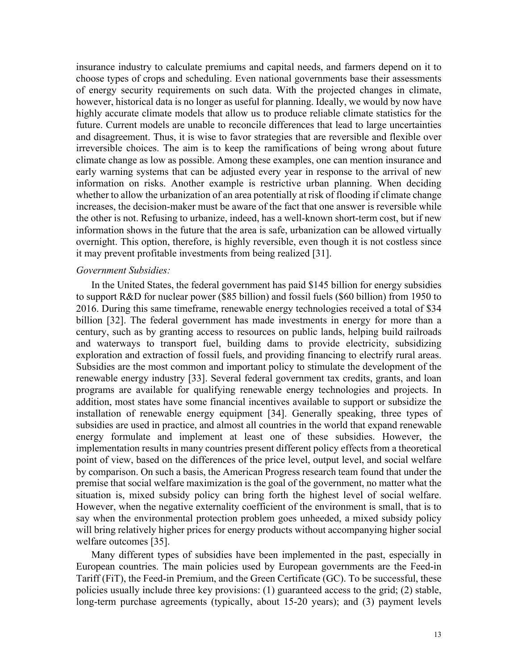insurance industry to calculate premiums and capital needs, and farmers depend on it to choose types of crops and scheduling. Even national governments base their assessments of energy security requirements on such data. With the projected changes in climate, however, historical data is no longer as useful for planning. Ideally, we would by now have highly accurate climate models that allow us to produce reliable climate statistics for the future. Current models are unable to reconcile differences that lead to large uncertainties and disagreement. Thus, it is wise to favor strategies that are reversible and flexible over irreversible choices. The aim is to keep the ramifications of being wrong about future climate change as low as possible. Among these examples, one can mention insurance and early warning systems that can be adjusted every year in response to the arrival of new information on risks. Another example is restrictive urban planning. When deciding whether to allow the urbanization of an area potentially at risk of flooding if climate change increases, the decision-maker must be aware of the fact that one answer is reversible while the other is not. Refusing to urbanize, indeed, has a well-known short-term cost, but if new information shows in the future that the area is safe, urbanization can be allowed virtually overnight. This option, therefore, is highly reversible, even though it is not costless since it may prevent profitable investments from being realized [31].

#### *Government Subsidies:*

In the United States, the federal government has paid \$145 billion for energy subsidies to support R&D for nuclear power (\$85 billion) and fossil fuels (\$60 billion) from 1950 to 2016. During this same timeframe, renewable energy technologies received a total of \$34 billion [32]. The federal government has made investments in energy for more than a century, such as by granting access to resources on public lands, helping build railroads and waterways to transport fuel, building dams to provide electricity, subsidizing exploration and extraction of fossil fuels, and providing financing to electrify rural areas. Subsidies are the most common and important policy to stimulate the development of the renewable energy industry [33]. Several federal government tax credits, grants, and loan programs are available for qualifying renewable energy technologies and projects. In addition, most states have some financial incentives available to support or subsidize the installation of renewable energy equipment [34]. Generally speaking, three types of subsidies are used in practice, and almost all countries in the world that expand renewable energy formulate and implement at least one of these subsidies. However, the implementation results in many countries present different policy effects from a theoretical point of view, based on the differences of the price level, output level, and social welfare by comparison. On such a basis, the American Progress research team found that under the premise that social welfare maximization is the goal of the government, no matter what the situation is, mixed subsidy policy can bring forth the highest level of social welfare. However, when the negative externality coefficient of the environment is small, that is to say when the environmental protection problem goes unheeded, a mixed subsidy policy will bring relatively higher prices for energy products without accompanying higher social welfare outcomes [35].

Many different types of subsidies have been implemented in the past, especially in European countries. The main policies used by European governments are the Feed-in Tariff (FiT), the Feed-in Premium, and the Green Certificate (GC). To be successful, these policies usually include three key provisions: (1) guaranteed access to the grid; (2) stable, long-term purchase agreements (typically, about 15-20 years); and (3) payment levels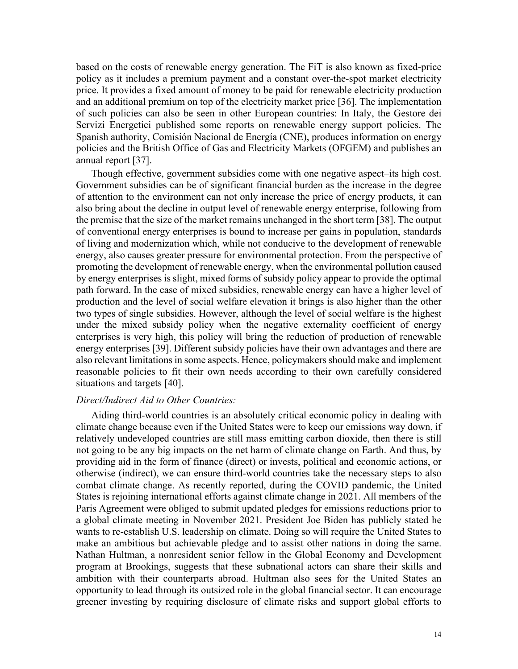based on the costs of renewable energy generation. The FiT is also known as fixed-price policy as it includes a premium payment and a constant over-the-spot market electricity price. It provides a fixed amount of money to be paid for renewable electricity production and an additional premium on top of the electricity market price [36]. The implementation of such policies can also be seen in other European countries: In Italy, the Gestore dei Servizi Energetici published some reports on renewable energy support policies. The Spanish authority, Comisión Nacional de Energía (CNE), produces information on energy policies and the British Office of Gas and Electricity Markets (OFGEM) and publishes an annual report [37].

Though effective, government subsidies come with one negative aspect–its high cost. Government subsidies can be of significant financial burden as the increase in the degree of attention to the environment can not only increase the price of energy products, it can also bring about the decline in output level of renewable energy enterprise, following from the premise that the size of the market remains unchanged in the short term [38]. The output of conventional energy enterprises is bound to increase per gains in population, standards of living and modernization which, while not conducive to the development of renewable energy, also causes greater pressure for environmental protection. From the perspective of promoting the development of renewable energy, when the environmental pollution caused by energy enterprises is slight, mixed forms of subsidy policy appear to provide the optimal path forward. In the case of mixed subsidies, renewable energy can have a higher level of production and the level of social welfare elevation it brings is also higher than the other two types of single subsidies. However, although the level of social welfare is the highest under the mixed subsidy policy when the negative externality coefficient of energy enterprises is very high, this policy will bring the reduction of production of renewable energy enterprises [39]. Different subsidy policies have their own advantages and there are also relevant limitations in some aspects. Hence, policymakers should make and implement reasonable policies to fit their own needs according to their own carefully considered situations and targets [40].

### *Direct/Indirect Aid to Other Countries:*

Aiding third-world countries is an absolutely critical economic policy in dealing with climate change because even if the United States were to keep our emissions way down, if relatively undeveloped countries are still mass emitting carbon dioxide, then there is still not going to be any big impacts on the net harm of climate change on Earth. And thus, by providing aid in the form of finance (direct) or invests, political and economic actions, or otherwise (indirect), we can ensure third-world countries take the necessary steps to also combat climate change. As recently reported, during the COVID pandemic, the United States is rejoining international efforts against climate change in 2021. All members of the Paris Agreement were obliged to submit updated pledges for emissions reductions prior to a global climate meeting in November 2021. President Joe Biden has publicly stated he wants to re-establish U.S. leadership on climate. Doing so will require the United States to make an ambitious but achievable pledge and to assist other nations in doing the same. Nathan Hultman, a nonresident senior fellow in the Global Economy and Development program at Brookings, suggests that these subnational actors can share their skills and ambition with their counterparts abroad. Hultman also sees for the United States an opportunity to lead through its outsized role in the global financial sector. It can encourage greener investing by requiring disclosure of climate risks and support global efforts to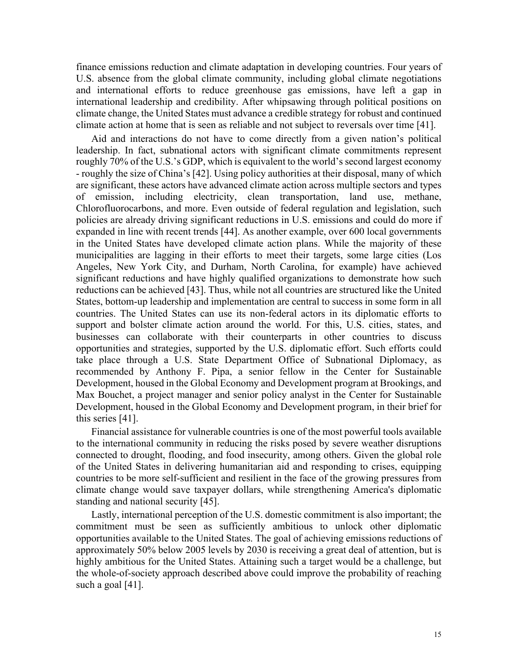finance emissions reduction and climate adaptation in developing countries. Four years of U.S. absence from the global climate community, including global climate negotiations and international efforts to reduce greenhouse gas emissions, have left a gap in international leadership and credibility. After whipsawing through political positions on climate change, the United States must advance a credible strategy for robust and continued climate action at home that is seen as reliable and not subject to reversals over time [41].

Aid and interactions do not have to come directly from a given nation's political leadership. In fact, subnational actors with significant climate commitments represent roughly 70% of the U.S.'s GDP, which is equivalent to the world's second largest economy - roughly the size of China's [42]. Using policy authorities at their disposal, many of which are significant, these actors have advanced climate action across multiple sectors and types of emission, including electricity, clean transportation, land use, methane, Chlorofluorocarbons, and more. Even outside of federal regulation and legislation, such policies are already driving significant reductions in U.S. emissions and could do more if expanded in line with recent trends [44]. As another example, over 600 local governments in the United States have developed climate action plans. While the majority of these municipalities are lagging in their efforts to meet their targets, some large cities (Los Angeles, New York City, and Durham, North Carolina, for example) have achieved significant reductions and have highly qualified organizations to demonstrate how such reductions can be achieved [43]. Thus, while not all countries are structured like the United States, bottom-up leadership and implementation are central to success in some form in all countries. The United States can use its non-federal actors in its diplomatic efforts to support and bolster climate action around the world. For this, U.S. cities, states, and businesses can collaborate with their counterparts in other countries to discuss opportunities and strategies, supported by the U.S. diplomatic effort. Such efforts could take place through a U.S. State Department Office of Subnational Diplomacy, as recommended by Anthony F. Pipa, a senior fellow in the Center for Sustainable Development, housed in the Global Economy and Development program at Brookings, and Max Bouchet, a project manager and senior policy analyst in the Center for Sustainable Development, housed in the Global Economy and Development program, in their brief for this series [41].

Financial assistance for vulnerable countries is one of the most powerful tools available to the international community in reducing the risks posed by severe weather disruptions connected to drought, flooding, and food insecurity, among others. Given the global role of the United States in delivering humanitarian aid and responding to crises, equipping countries to be more self-sufficient and resilient in the face of the growing pressures from climate change would save taxpayer dollars, while strengthening America's diplomatic standing and national security [45].

Lastly, international perception of the U.S. domestic commitment is also important; the commitment must be seen as sufficiently ambitious to unlock other diplomatic opportunities available to the United States. The goal of achieving emissions reductions of approximately 50% below 2005 levels by 2030 is receiving a great deal of attention, but is highly ambitious for the United States. Attaining such a target would be a challenge, but the whole-of-society approach described above could improve the probability of reaching such a goal [41].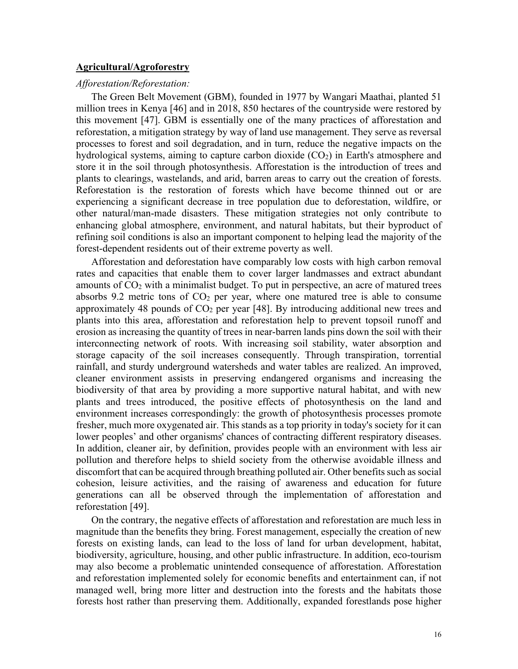### **Agricultural/Agroforestry**

### *Afforestation/Reforestation:*

The Green Belt Movement (GBM), founded in 1977 by Wangari Maathai, planted 51 million trees in Kenya [46] and in 2018, 850 hectares of the countryside were restored by this movement [47]. GBM is essentially one of the many practices of afforestation and reforestation, a mitigation strategy by way of land use management. They serve as reversal processes to forest and soil degradation, and in turn, reduce the negative impacts on the hydrological systems, aiming to capture carbon dioxide  $(CO<sub>2</sub>)$  in Earth's atmosphere and store it in the soil through photosynthesis. Afforestation is the introduction of trees and plants to clearings, wastelands, and arid, barren areas to carry out the creation of forests. Reforestation is the restoration of forests which have become thinned out or are experiencing a significant decrease in tree population due to deforestation, wildfire, or other natural/man-made disasters. These mitigation strategies not only contribute to enhancing global atmosphere, environment, and natural habitats, but their byproduct of refining soil conditions is also an important component to helping lead the majority of the forest-dependent residents out of their extreme poverty as well.

Afforestation and deforestation have comparably low costs with high carbon removal rates and capacities that enable them to cover larger landmasses and extract abundant amounts of  $CO<sub>2</sub>$  with a minimalist budget. To put in perspective, an acre of matured trees absorbs 9.2 metric tons of  $CO<sub>2</sub>$  per year, where one matured tree is able to consume approximately 48 pounds of  $CO<sub>2</sub>$  per year [48]. By introducing additional new trees and plants into this area, afforestation and reforestation help to prevent topsoil runoff and erosion as increasing the quantity of trees in near-barren lands pins down the soil with their interconnecting network of roots. With increasing soil stability, water absorption and storage capacity of the soil increases consequently. Through transpiration, torrential rainfall, and sturdy underground watersheds and water tables are realized. An improved, cleaner environment assists in preserving endangered organisms and increasing the biodiversity of that area by providing a more supportive natural habitat, and with new plants and trees introduced, the positive effects of photosynthesis on the land and environment increases correspondingly: the growth of photosynthesis processes promote fresher, much more oxygenated air. This stands as a top priority in today's society for it can lower peoples' and other organisms' chances of contracting different respiratory diseases. In addition, cleaner air, by definition, provides people with an environment with less air pollution and therefore helps to shield society from the otherwise avoidable illness and discomfort that can be acquired through breathing polluted air. Other benefits such as social cohesion, leisure activities, and the raising of awareness and education for future generations can all be observed through the implementation of afforestation and reforestation [49].

On the contrary, the negative effects of afforestation and reforestation are much less in magnitude than the benefits they bring. Forest management, especially the creation of new forests on existing lands, can lead to the loss of land for urban development, habitat, biodiversity, agriculture, housing, and other public infrastructure. In addition, eco-tourism may also become a problematic unintended consequence of afforestation. Afforestation and reforestation implemented solely for economic benefits and entertainment can, if not managed well, bring more litter and destruction into the forests and the habitats those forests host rather than preserving them. Additionally, expanded forestlands pose higher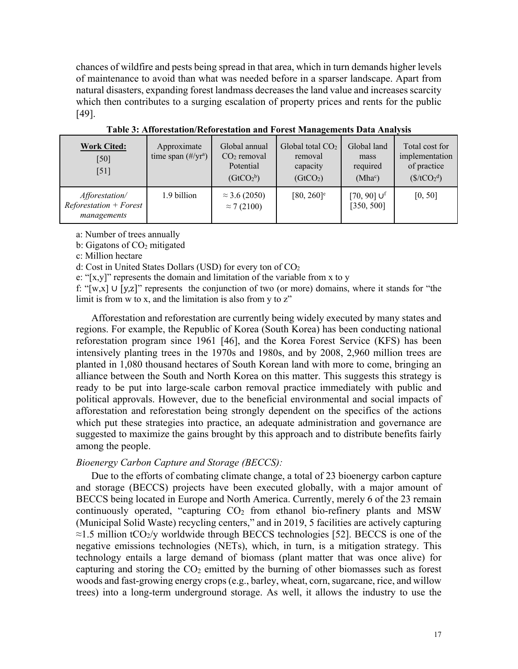chances of wildfire and pests being spread in that area, which in turn demands higher levels of maintenance to avoid than what was needed before in a sparser landscape. Apart from natural disasters, expanding forest landmass decreases the land value and increases scarcity which then contributes to a surging escalation of property prices and rents for the public [49].

| <b>Work Cited:</b><br>[50]<br>[51]                         | Approximate<br>time span $(\text{\#/yr}^a)$ | Global annual<br>$CO2$ removal<br>Potential<br>(GtCO <sub>2</sub> <sup>b</sup> ) | Global total $CO2$<br>removal<br>capacity<br>(GtCO <sub>2</sub> ) | Global land<br>mass<br>required<br>$(Mha^c)$ | Total cost for<br>implementation<br>of practice<br>$(\frac{\csc(1000)}{\csc(1000)})$ |
|------------------------------------------------------------|---------------------------------------------|----------------------------------------------------------------------------------|-------------------------------------------------------------------|----------------------------------------------|--------------------------------------------------------------------------------------|
| Afforestation/<br>$Refore station + Forest$<br>managements | 1.9 billion                                 | $\approx$ 3.6 (2050)<br>$\approx$ 7 (2100)                                       | $[80, 260]$ <sup>e</sup>                                          | $[70, 90]$ U <sup>f</sup><br>[350, 500]      | [0, 50]                                                                              |

**Table 3: Afforestation/Reforestation and Forest Managements Data Analysis**

a: Number of trees annually

b: Gigatons of  $CO<sub>2</sub>$  mitigated

c: Million hectare

d: Cost in United States Dollars (USD) for every ton of CO<sub>2</sub>

e: " $[x,y]$ " represents the domain and limitation of the variable from x to y

f: "[w,x] ∪ [y,z]" represents the conjunction of two (or more) domains, where it stands for "the limit is from w to x, and the limitation is also from y to z"

Afforestation and reforestation are currently being widely executed by many states and regions. For example, the Republic of Korea (South Korea) has been conducting national reforestation program since 1961 [46], and the Korea Forest Service (KFS) has been intensively planting trees in the 1970s and 1980s, and by 2008, 2,960 million trees are planted in 1,080 thousand hectares of South Korean land with more to come, bringing an alliance between the South and North Korea on this matter. This suggests this strategy is ready to be put into large-scale carbon removal practice immediately with public and political approvals. However, due to the beneficial environmental and social impacts of afforestation and reforestation being strongly dependent on the specifics of the actions which put these strategies into practice, an adequate administration and governance are suggested to maximize the gains brought by this approach and to distribute benefits fairly among the people.

# *Bioenergy Carbon Capture and Storage (BECCS):*

Due to the efforts of combating climate change, a total of 23 bioenergy carbon capture and storage (BECCS) projects have been executed globally, with a major amount of BECCS being located in Europe and North America. Currently, merely 6 of the 23 remain continuously operated, "capturing  $CO<sub>2</sub>$  from ethanol bio-refinery plants and MSW (Municipal Solid Waste) recycling centers," and in 2019, 5 facilities are actively capturing  $\approx$ 1.5 million tCO<sub>2</sub>/y worldwide through BECCS technologies [52]. BECCS is one of the negative emissions technologies (NETs), which, in turn, is a mitigation strategy. This technology entails a large demand of biomass (plant matter that was once alive) for capturing and storing the  $CO<sub>2</sub>$  emitted by the burning of other biomasses such as forest woods and fast-growing energy crops (e.g., barley, wheat, corn, sugarcane, rice, and willow trees) into a long-term underground storage. As well, it allows the industry to use the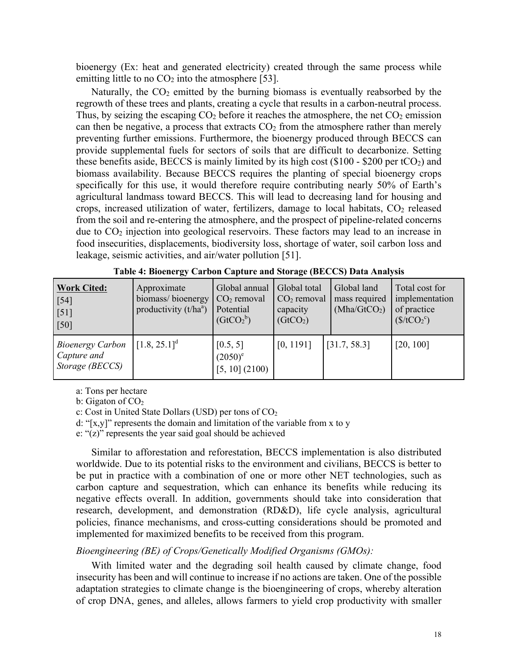bioenergy (Ex: heat and generated electricity) created through the same process while emitting little to no  $CO<sub>2</sub>$  into the atmosphere [53].

Naturally, the  $CO<sub>2</sub>$  emitted by the burning biomass is eventually reabsorbed by the regrowth of these trees and plants, creating a cycle that results in a carbon-neutral process. Thus, by seizing the escaping  $CO<sub>2</sub>$  before it reaches the atmosphere, the net  $CO<sub>2</sub>$  emission can then be negative, a process that extracts  $CO<sub>2</sub>$  from the atmosphere rather than merely preventing further emissions. Furthermore, the bioenergy produced through BECCS can provide supplemental fuels for sectors of soils that are difficult to decarbonize. Setting these benefits aside, BECCS is mainly limited by its high cost  $(\$100 - \$200$  per tCO<sub>2</sub>) and biomass availability. Because BECCS requires the planting of special bioenergy crops specifically for this use, it would therefore require contributing nearly 50% of Earth's agricultural landmass toward BECCS. This will lead to decreasing land for housing and crops, increased utilization of water, fertilizers, damage to local habitats,  $CO<sub>2</sub>$  released from the soil and re-entering the atmosphere, and the prospect of pipeline-related concerns due to  $CO<sub>2</sub>$  injection into geological reservoirs. These factors may lead to an increase in food insecurities, displacements, biodiversity loss, shortage of water, soil carbon loss and leakage, seismic activities, and air/water pollution [51].

| <b>Work Cited:</b><br>$[54]$<br>[51]<br>[50]              | Approximate<br>biomass/bioenergy<br>productivity $(t/ha^a)$ | Global annual<br>$CO2$ removal<br>Potential<br>(GtCO <sub>2</sub> <sup>b</sup> ) | Global total<br>$CO2$ removal<br>capacity<br>(GtCO <sub>2</sub> ) | Global land<br>mass required<br>(Mha/GtCO <sub>2</sub> ) | Total cost for<br>implementation<br>of practice<br>(\$/tCO <sub>2</sub> °) |
|-----------------------------------------------------------|-------------------------------------------------------------|----------------------------------------------------------------------------------|-------------------------------------------------------------------|----------------------------------------------------------|----------------------------------------------------------------------------|
| <b>Bioenergy Carbon</b><br>Capture and<br>Storage (BECCS) | $[1.8, 25.1]^{d}$                                           | [0.5, 5]<br>$(2050)^e$<br>$[5, 10]$ (2100)                                       | [0, 1191]                                                         | [31.7, 58.3]                                             | [20, 100]                                                                  |

**Table 4: Bioenergy Carbon Capture and Storage (BECCS) Data Analysis**

a: Tons per hectare

b: Gigaton of  $CO<sub>2</sub>$ 

c: Cost in United State Dollars (USD) per tons of  $CO<sub>2</sub>$ 

d: "[ $x,y$ ]" represents the domain and limitation of the variable from x to y

e: "(z)" represents the year said goal should be achieved

Similar to afforestation and reforestation, BECCS implementation is also distributed worldwide. Due to its potential risks to the environment and civilians, BECCS is better to be put in practice with a combination of one or more other NET technologies, such as carbon capture and sequestration, which can enhance its benefits while reducing its negative effects overall. In addition, governments should take into consideration that research, development, and demonstration (RD&D), life cycle analysis, agricultural policies, finance mechanisms, and cross-cutting considerations should be promoted and implemented for maximized benefits to be received from this program.

# *Bioengineering (BE) of Crops/Genetically Modified Organisms (GMOs):*

With limited water and the degrading soil health caused by climate change, food insecurity has been and will continue to increase if no actions are taken. One of the possible adaptation strategies to climate change is the bioengineering of crops, whereby alteration of crop DNA, genes, and alleles, allows farmers to yield crop productivity with smaller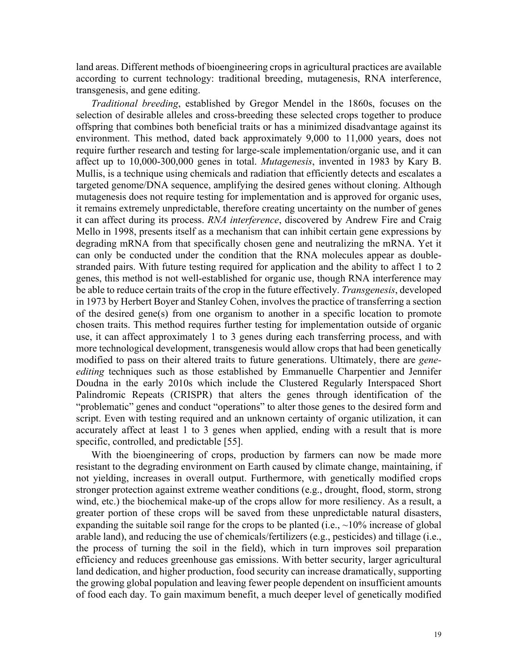land areas. Different methods of bioengineering crops in agricultural practices are available according to current technology: traditional breeding, mutagenesis, RNA interference, transgenesis, and gene editing.

*Traditional breeding*, established by Gregor Mendel in the 1860s, focuses on the selection of desirable alleles and cross-breeding these selected crops together to produce offspring that combines both beneficial traits or has a minimized disadvantage against its environment. This method, dated back approximately 9,000 to 11,000 years, does not require further research and testing for large-scale implementation/organic use, and it can affect up to 10,000-300,000 genes in total. *Mutagenesis*, invented in 1983 by Kary B. Mullis, is a technique using chemicals and radiation that efficiently detects and escalates a targeted genome/DNA sequence, amplifying the desired genes without cloning. Although mutagenesis does not require testing for implementation and is approved for organic uses, it remains extremely unpredictable, therefore creating uncertainty on the number of genes it can affect during its process. *RNA interference*, discovered by Andrew Fire and Craig Mello in 1998, presents itself as a mechanism that can inhibit certain gene expressions by degrading mRNA from that specifically chosen gene and neutralizing the mRNA. Yet it can only be conducted under the condition that the RNA molecules appear as doublestranded pairs. With future testing required for application and the ability to affect 1 to 2 genes, this method is not well-established for organic use, though RNA interference may be able to reduce certain traits of the crop in the future effectively. *Transgenesis*, developed in 1973 by Herbert Boyer and Stanley Cohen, involves the practice of transferring a section of the desired gene(s) from one organism to another in a specific location to promote chosen traits. This method requires further testing for implementation outside of organic use, it can affect approximately 1 to 3 genes during each transferring process, and with more technological development, transgenesis would allow crops that had been genetically modified to pass on their altered traits to future generations. Ultimately, there are *geneediting* techniques such as those established by Emmanuelle Charpentier and Jennifer Doudna in the early 2010s which include the Clustered Regularly Interspaced Short Palindromic Repeats (CRISPR) that alters the genes through identification of the "problematic" genes and conduct "operations" to alter those genes to the desired form and script. Even with testing required and an unknown certainty of organic utilization, it can accurately affect at least 1 to 3 genes when applied, ending with a result that is more specific, controlled, and predictable [55].

With the bioengineering of crops, production by farmers can now be made more resistant to the degrading environment on Earth caused by climate change, maintaining, if not yielding, increases in overall output. Furthermore, with genetically modified crops stronger protection against extreme weather conditions (e.g., drought, flood, storm, strong wind, etc.) the biochemical make-up of the crops allow for more resiliency. As a result, a greater portion of these crops will be saved from these unpredictable natural disasters, expanding the suitable soil range for the crops to be planted (i.e.,  $\sim$ 10% increase of global arable land), and reducing the use of chemicals/fertilizers (e.g., pesticides) and tillage (i.e., the process of turning the soil in the field), which in turn improves soil preparation efficiency and reduces greenhouse gas emissions. With better security, larger agricultural land dedication, and higher production, food security can increase dramatically, supporting the growing global population and leaving fewer people dependent on insufficient amounts of food each day. To gain maximum benefit, a much deeper level of genetically modified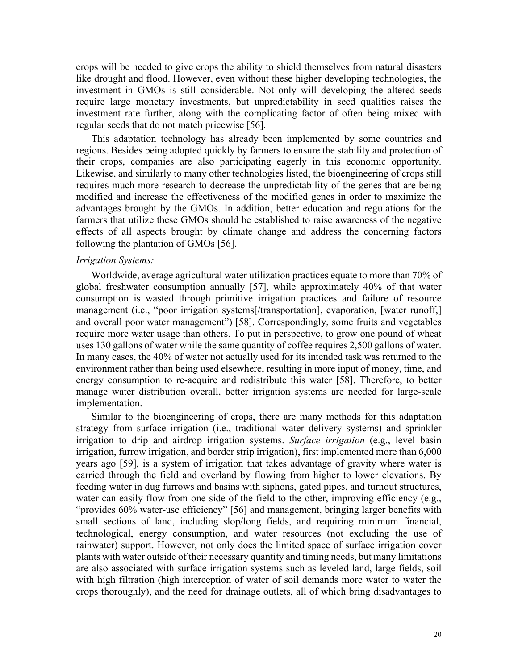crops will be needed to give crops the ability to shield themselves from natural disasters like drought and flood. However, even without these higher developing technologies, the investment in GMOs is still considerable. Not only will developing the altered seeds require large monetary investments, but unpredictability in seed qualities raises the investment rate further, along with the complicating factor of often being mixed with regular seeds that do not match pricewise [56].

This adaptation technology has already been implemented by some countries and regions. Besides being adopted quickly by farmers to ensure the stability and protection of their crops, companies are also participating eagerly in this economic opportunity. Likewise, and similarly to many other technologies listed, the bioengineering of crops still requires much more research to decrease the unpredictability of the genes that are being modified and increase the effectiveness of the modified genes in order to maximize the advantages brought by the GMOs. In addition, better education and regulations for the farmers that utilize these GMOs should be established to raise awareness of the negative effects of all aspects brought by climate change and address the concerning factors following the plantation of GMOs [56].

### *Irrigation Systems:*

Worldwide, average agricultural water utilization practices equate to more than 70% of global freshwater consumption annually [57], while approximately 40% of that water consumption is wasted through primitive irrigation practices and failure of resource management (i.e., "poor irrigation systems[/transportation], evaporation, [water runoff,] and overall poor water management") [58]. Correspondingly, some fruits and vegetables require more water usage than others. To put in perspective, to grow one pound of wheat uses 130 gallons of water while the same quantity of coffee requires 2,500 gallons of water. In many cases, the 40% of water not actually used for its intended task was returned to the environment rather than being used elsewhere, resulting in more input of money, time, and energy consumption to re-acquire and redistribute this water [58]. Therefore, to better manage water distribution overall, better irrigation systems are needed for large-scale implementation.

Similar to the bioengineering of crops, there are many methods for this adaptation strategy from surface irrigation (i.e., traditional water delivery systems) and sprinkler irrigation to drip and airdrop irrigation systems. *Surface irrigation* (e.g., level basin irrigation, furrow irrigation, and border strip irrigation), first implemented more than 6,000 years ago [59], is a system of irrigation that takes advantage of gravity where water is carried through the field and overland by flowing from higher to lower elevations. By feeding water in dug furrows and basins with siphons, gated pipes, and turnout structures, water can easily flow from one side of the field to the other, improving efficiency (e.g., "provides 60% water-use efficiency" [56] and management, bringing larger benefits with small sections of land, including slop/long fields, and requiring minimum financial, technological, energy consumption, and water resources (not excluding the use of rainwater) support. However, not only does the limited space of surface irrigation cover plants with water outside of their necessary quantity and timing needs, but many limitations are also associated with surface irrigation systems such as leveled land, large fields, soil with high filtration (high interception of water of soil demands more water to water the crops thoroughly), and the need for drainage outlets, all of which bring disadvantages to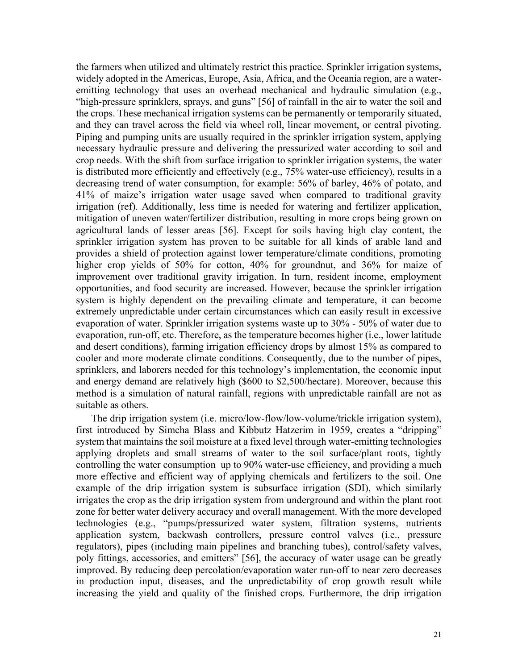the farmers when utilized and ultimately restrict this practice. Sprinkler irrigation systems, widely adopted in the Americas, Europe, Asia, Africa, and the Oceania region, are a wateremitting technology that uses an overhead mechanical and hydraulic simulation (e.g., "high-pressure sprinklers, sprays, and guns" [56] of rainfall in the air to water the soil and the crops. These mechanical irrigation systems can be permanently or temporarily situated, and they can travel across the field via wheel roll, linear movement, or central pivoting. Piping and pumping units are usually required in the sprinkler irrigation system, applying necessary hydraulic pressure and delivering the pressurized water according to soil and crop needs. With the shift from surface irrigation to sprinkler irrigation systems, the water is distributed more efficiently and effectively (e.g., 75% water-use efficiency), results in a decreasing trend of water consumption, for example: 56% of barley, 46% of potato, and 41% of maize's irrigation water usage saved when compared to traditional gravity irrigation (ref). Additionally, less time is needed for watering and fertilizer application, mitigation of uneven water/fertilizer distribution, resulting in more crops being grown on agricultural lands of lesser areas [56]. Except for soils having high clay content, the sprinkler irrigation system has proven to be suitable for all kinds of arable land and provides a shield of protection against lower temperature/climate conditions, promoting higher crop yields of 50% for cotton, 40% for groundnut, and 36% for maize of improvement over traditional gravity irrigation. In turn, resident income, employment opportunities, and food security are increased. However, because the sprinkler irrigation system is highly dependent on the prevailing climate and temperature, it can become extremely unpredictable under certain circumstances which can easily result in excessive evaporation of water. Sprinkler irrigation systems waste up to 30% - 50% of water due to evaporation, run-off, etc. Therefore, as the temperature becomes higher (i.e., lower latitude and desert conditions), farming irrigation efficiency drops by almost 15% as compared to cooler and more moderate climate conditions. Consequently, due to the number of pipes, sprinklers, and laborers needed for this technology's implementation, the economic input and energy demand are relatively high (\$600 to \$2,500/hectare). Moreover, because this method is a simulation of natural rainfall, regions with unpredictable rainfall are not as suitable as others.

The drip irrigation system (i.e. micro/low-flow/low-volume/trickle irrigation system), first introduced by Simcha Blass and Kibbutz Hatzerim in 1959, creates a "dripping" system that maintains the soil moisture at a fixed level through water-emitting technologies applying droplets and small streams of water to the soil surface/plant roots, tightly controlling the water consumption up to 90% water-use efficiency, and providing a much more effective and efficient way of applying chemicals and fertilizers to the soil. One example of the drip irrigation system is subsurface irrigation (SDI), which similarly irrigates the crop as the drip irrigation system from underground and within the plant root zone for better water delivery accuracy and overall management. With the more developed technologies (e.g., "pumps/pressurized water system, filtration systems, nutrients application system, backwash controllers, pressure control valves (i.e., pressure regulators), pipes (including main pipelines and branching tubes), control/safety valves, poly fittings, accessories, and emitters" [56], the accuracy of water usage can be greatly improved. By reducing deep percolation/evaporation water run-off to near zero decreases in production input, diseases, and the unpredictability of crop growth result while increasing the yield and quality of the finished crops. Furthermore, the drip irrigation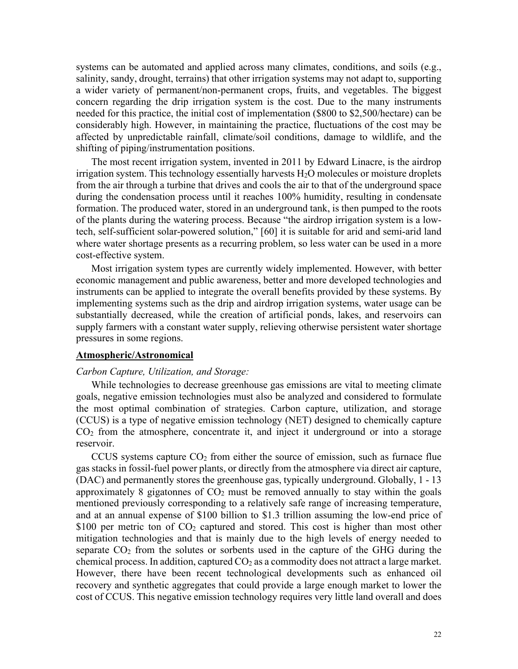systems can be automated and applied across many climates, conditions, and soils (e.g., salinity, sandy, drought, terrains) that other irrigation systems may not adapt to, supporting a wider variety of permanent/non-permanent crops, fruits, and vegetables. The biggest concern regarding the drip irrigation system is the cost. Due to the many instruments needed for this practice, the initial cost of implementation (\$800 to \$2,500/hectare) can be considerably high. However, in maintaining the practice, fluctuations of the cost may be affected by unpredictable rainfall, climate/soil conditions, damage to wildlife, and the shifting of piping/instrumentation positions.

The most recent irrigation system, invented in 2011 by Edward Linacre, is the airdrop irrigation system. This technology essentially harvests  $H_2O$  molecules or moisture droplets from the air through a turbine that drives and cools the air to that of the underground space during the condensation process until it reaches 100% humidity, resulting in condensate formation. The produced water, stored in an underground tank, is then pumped to the roots of the plants during the watering process. Because "the airdrop irrigation system is a lowtech, self-sufficient solar-powered solution," [60] it is suitable for arid and semi-arid land where water shortage presents as a recurring problem, so less water can be used in a more cost-effective system.

Most irrigation system types are currently widely implemented. However, with better economic management and public awareness, better and more developed technologies and instruments can be applied to integrate the overall benefits provided by these systems. By implementing systems such as the drip and airdrop irrigation systems, water usage can be substantially decreased, while the creation of artificial ponds, lakes, and reservoirs can supply farmers with a constant water supply, relieving otherwise persistent water shortage pressures in some regions.

#### **Atmospheric/Astronomical**

#### *Carbon Capture, Utilization, and Storage:*

While technologies to decrease greenhouse gas emissions are vital to meeting climate goals, negative emission technologies must also be analyzed and considered to formulate the most optimal combination of strategies. Carbon capture, utilization, and storage (CCUS) is a type of negative emission technology (NET) designed to chemically capture  $CO<sub>2</sub>$  from the atmosphere, concentrate it, and inject it underground or into a storage reservoir.

CCUS systems capture  $CO<sub>2</sub>$  from either the source of emission, such as furnace flue gas stacks in fossil-fuel power plants, or directly from the atmosphere via direct air capture, (DAC) and permanently stores the greenhouse gas, typically underground. Globally, 1 - 13 approximately 8 gigatonnes of  $CO<sub>2</sub>$  must be removed annually to stay within the goals mentioned previously corresponding to a relatively safe range of increasing temperature, and at an annual expense of \$100 billion to \$1.3 trillion assuming the low-end price of \$100 per metric ton of  $CO<sub>2</sub>$  captured and stored. This cost is higher than most other mitigation technologies and that is mainly due to the high levels of energy needed to separate  $CO<sub>2</sub>$  from the solutes or sorbents used in the capture of the GHG during the chemical process. In addition, captured  $CO<sub>2</sub>$  as a commodity does not attract a large market. However, there have been recent technological developments such as enhanced oil recovery and synthetic aggregates that could provide a large enough market to lower the cost of CCUS. This negative emission technology requires very little land overall and does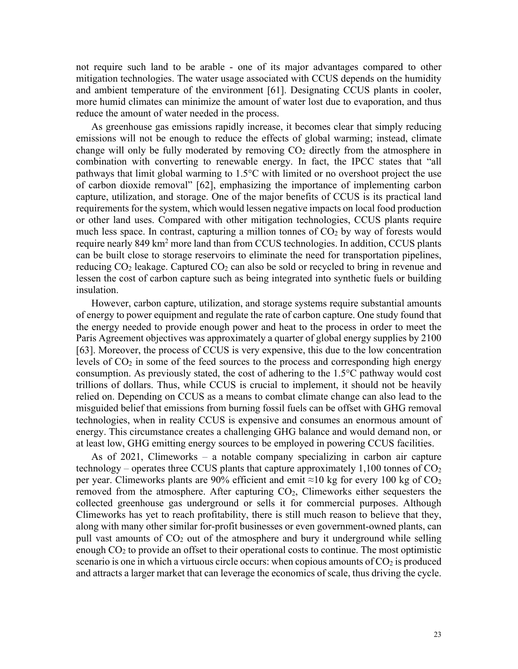not require such land to be arable - one of its major advantages compared to other mitigation technologies. The water usage associated with CCUS depends on the humidity and ambient temperature of the environment [61]. Designating CCUS plants in cooler, more humid climates can minimize the amount of water lost due to evaporation, and thus reduce the amount of water needed in the process.

As greenhouse gas emissions rapidly increase, it becomes clear that simply reducing emissions will not be enough to reduce the effects of global warming; instead, climate change will only be fully moderated by removing  $CO<sub>2</sub>$  directly from the atmosphere in combination with converting to renewable energy. In fact, the IPCC states that "all pathways that limit global warming to 1.5°C with limited or no overshoot project the use of carbon dioxide removal" [62], emphasizing the importance of implementing carbon capture, utilization, and storage. One of the major benefits of CCUS is its practical land requirements for the system, which would lessen negative impacts on local food production or other land uses. Compared with other mitigation technologies, CCUS plants require much less space. In contrast, capturing a million tonnes of  $CO<sub>2</sub>$  by way of forests would require nearly 849 km<sup>2</sup> more land than from CCUS technologies. In addition, CCUS plants can be built close to storage reservoirs to eliminate the need for transportation pipelines, reducing  $CO<sub>2</sub>$  leakage. Captured  $CO<sub>2</sub>$  can also be sold or recycled to bring in revenue and lessen the cost of carbon capture such as being integrated into synthetic fuels or building insulation.

However, carbon capture, utilization, and storage systems require substantial amounts of energy to power equipment and regulate the rate of carbon capture. One study found that the energy needed to provide enough power and heat to the process in order to meet the Paris Agreement objectives was approximately a quarter of global energy supplies by 2100 [63]. Moreover, the process of CCUS is very expensive, this due to the low concentration levels of  $CO<sub>2</sub>$  in some of the feed sources to the process and corresponding high energy consumption. As previously stated, the cost of adhering to the 1.5°C pathway would cost trillions of dollars. Thus, while CCUS is crucial to implement, it should not be heavily relied on. Depending on CCUS as a means to combat climate change can also lead to the misguided belief that emissions from burning fossil fuels can be offset with GHG removal technologies, when in reality CCUS is expensive and consumes an enormous amount of energy. This circumstance creates a challenging GHG balance and would demand non, or at least low, GHG emitting energy sources to be employed in powering CCUS facilities.

As of  $2021$ , Climeworks – a notable company specializing in carbon air capture technology – operates three CCUS plants that capture approximately  $1,100$  tonnes of  $CO<sub>2</sub>$ per year. Climeworks plants are 90% efficient and emit  $\approx$ 10 kg for every 100 kg of CO<sub>2</sub> removed from the atmosphere. After capturing  $CO<sub>2</sub>$ , Climeworks either sequesters the collected greenhouse gas underground or sells it for commercial purposes. Although Climeworks has yet to reach profitability, there is still much reason to believe that they, along with many other similar for-profit businesses or even government-owned plants, can pull vast amounts of  $CO<sub>2</sub>$  out of the atmosphere and bury it underground while selling enough  $CO<sub>2</sub>$  to provide an offset to their operational costs to continue. The most optimistic scenario is one in which a virtuous circle occurs: when copious amounts of  $CO<sub>2</sub>$  is produced and attracts a larger market that can leverage the economics of scale, thus driving the cycle.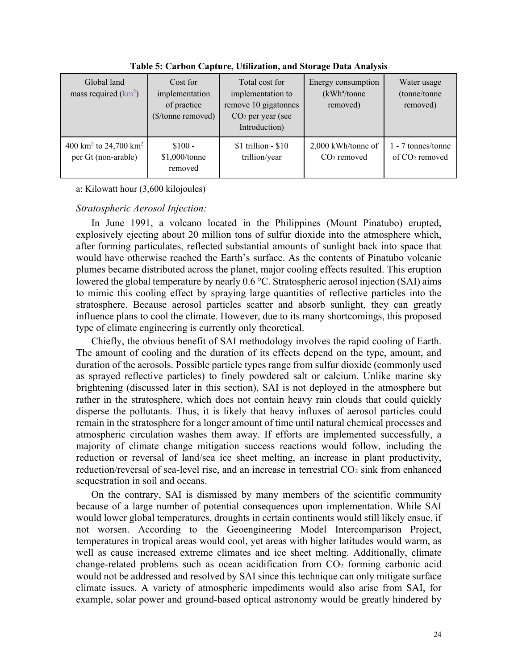| Global land<br>mass required $(km^2)$                                | Cost for<br>implementation<br>of practice<br>(\$/tonne removed) | Total cost for<br>implementation to<br>remove 10 gigatonnes<br>$CO2$ per year (see<br>Introduction) | Energy consumption<br>(kWh <sup>a</sup> /tonne)<br>removed) | Water usage<br>(tonne/tonne<br>removed) |
|----------------------------------------------------------------------|-----------------------------------------------------------------|-----------------------------------------------------------------------------------------------------|-------------------------------------------------------------|-----------------------------------------|
| 400 km <sup>2</sup> to 24,700 km <sup>2</sup><br>per Gt (non-arable) | $$100 -$<br>\$1,000/tonne<br>removed                            | $$1$ trillion - $$10$<br>trillion/year                                                              | $2,000$ kWh/tonne of<br>$CO2$ removed                       | 1 - 7 tonnes/tonne<br>of $CO2$ removed  |

**Table 5: Carbon Capture, Utilization, and Storage Data Analysis**

# a: Kilowatt hour (3,600 kilojoules)

# *Stratospheric Aerosol Injection:*

In June 1991, a volcano located in the Philippines (Mount Pinatubo) erupted, explosively ejecting about 20 million tons of sulfur dioxide into the atmosphere which, after forming particulates, reflected substantial amounts of sunlight back into space that would have otherwise reached the Earth's surface. As the contents of Pinatubo volcanic plumes became distributed across the planet, major cooling effects resulted. This eruption lowered the global temperature by nearly 0.6 °C. Stratospheric aerosol injection (SAI) aims to mimic this cooling effect by spraying large quantities of reflective particles into the stratosphere. Because aerosol particles scatter and absorb sunlight, they can greatly influence plans to cool the climate. However, due to its many shortcomings, this proposed type of climate engineering is currently only theoretical.

Chiefly, the obvious benefit of SAI methodology involves the rapid cooling of Earth. The amount of cooling and the duration of its effects depend on the type, amount, and duration of the aerosols. Possible particle types range from sulfur dioxide (commonly used as sprayed reflective particles) to finely powdered salt or calcium. Unlike marine sky brightening (discussed later in this section), SAI is not deployed in the atmosphere but rather in the stratosphere, which does not contain heavy rain clouds that could quickly disperse the pollutants. Thus, it is likely that heavy influxes of aerosol particles could remain in the stratosphere for a longer amount of time until natural chemical processes and atmospheric circulation washes them away. If efforts are implemented successfully, a majority of climate change mitigation success reactions would follow, including the reduction or reversal of land/sea ice sheet melting, an increase in plant productivity, reduction/reversal of sea-level rise, and an increase in terrestrial  $CO<sub>2</sub>$  sink from enhanced sequestration in soil and oceans.

On the contrary, SAI is dismissed by many members of the scientific community because of a large number of potential consequences upon implementation. While SAI would lower global temperatures, droughts in certain continents would still likely ensue, if not worsen. According to the Geoengineering Model Intercomparison Project, temperatures in tropical areas would cool, yet areas with higher latitudes would warm, as well as cause increased extreme climates and ice sheet melting. Additionally, climate change-related problems such as ocean acidification from  $CO<sub>2</sub>$  forming carbonic acid would not be addressed and resolved by SAI since this technique can only mitigate surface climate issues. A variety of atmospheric impediments would also arise from SAI, for example, solar power and ground-based optical astronomy would be greatly hindered by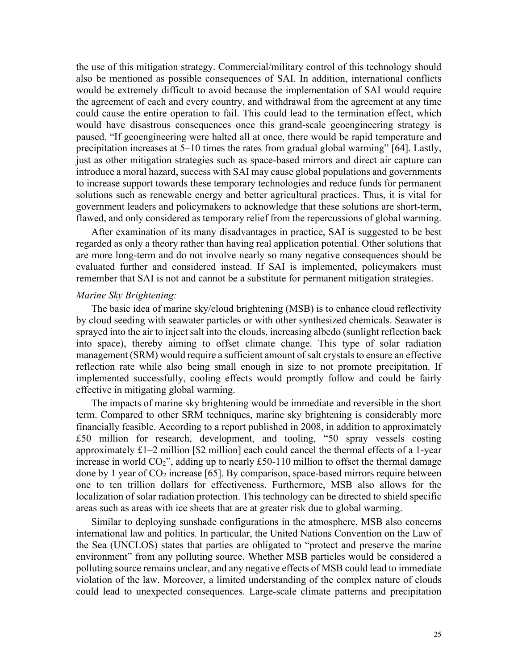the use of this mitigation strategy. Commercial/military control of this technology should also be mentioned as possible consequences of SAI. In addition, international conflicts would be extremely difficult to avoid because the implementation of SAI would require the agreement of each and every country, and withdrawal from the agreement at any time could cause the entire operation to fail. This could lead to the termination effect, which would have disastrous consequences once this grand-scale geoengineering strategy is paused. "If geoengineering were halted all at once, there would be rapid temperature and precipitation increases at 5–10 times the rates from gradual global warming" [64]. Lastly, just as other mitigation strategies such as space-based mirrors and direct air capture can introduce a moral hazard, success with SAI may cause global populations and governments to increase support towards these temporary technologies and reduce funds for permanent solutions such as renewable energy and better agricultural practices. Thus, it is vital for government leaders and policymakers to acknowledge that these solutions are short-term, flawed, and only considered as temporary relief from the repercussions of global warming.

After examination of its many disadvantages in practice, SAI is suggested to be best regarded as only a theory rather than having real application potential. Other solutions that are more long-term and do not involve nearly so many negative consequences should be evaluated further and considered instead. If SAI is implemented, policymakers must remember that SAI is not and cannot be a substitute for permanent mitigation strategies.

### *Marine Sky Brightening:*

The basic idea of marine sky/cloud brightening (MSB) is to enhance cloud reflectivity by cloud seeding with seawater particles or with other synthesized chemicals. Seawater is sprayed into the air to inject salt into the clouds, increasing albedo (sunlight reflection back into space), thereby aiming to offset climate change. This type of solar radiation management (SRM) would require a sufficient amount of salt crystals to ensure an effective reflection rate while also being small enough in size to not promote precipitation. If implemented successfully, cooling effects would promptly follow and could be fairly effective in mitigating global warming.

The impacts of marine sky brightening would be immediate and reversible in the short term. Compared to other SRM techniques, marine sky brightening is considerably more financially feasible. According to a report published in 2008, in addition to approximately £50 million for research, development, and tooling, "50 spray vessels costing approximately  $\pounds1-2$  million [\$2 million] each could cancel the thermal effects of a 1-year increase in world  $CO_2$ ", adding up to nearly £50-110 million to offset the thermal damage done by 1 year of  $CO<sub>2</sub>$  increase [65]. By comparison, space-based mirrors require between one to ten trillion dollars for effectiveness. Furthermore, MSB also allows for the localization of solar radiation protection. This technology can be directed to shield specific areas such as areas with ice sheets that are at greater risk due to global warming.

Similar to deploying sunshade configurations in the atmosphere, MSB also concerns international law and politics. In particular, the United Nations Convention on the Law of the Sea (UNCLOS) states that parties are obligated to "protect and preserve the marine environment" from any polluting source. Whether MSB particles would be considered a polluting source remains unclear, and any negative effects of MSB could lead to immediate violation of the law. Moreover, a limited understanding of the complex nature of clouds could lead to unexpected consequences. Large-scale climate patterns and precipitation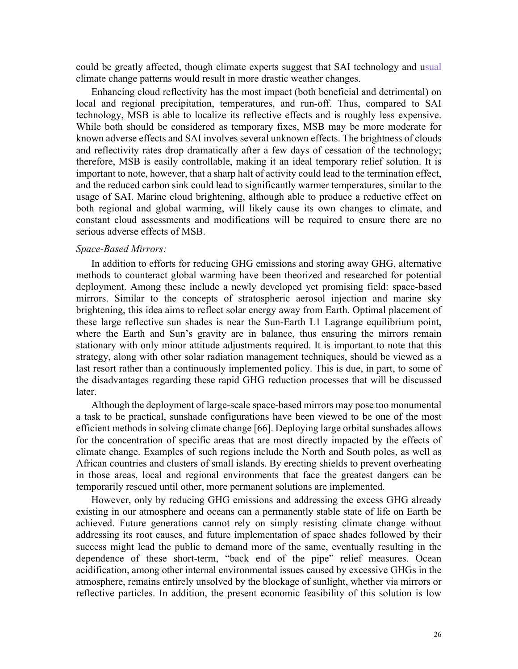could be greatly affected, though climate experts suggest that SAI technology and usual climate change patterns would result in more drastic weather changes.

Enhancing cloud reflectivity has the most impact (both beneficial and detrimental) on local and regional precipitation, temperatures, and run-off. Thus, compared to SAI technology, MSB is able to localize its reflective effects and is roughly less expensive. While both should be considered as temporary fixes, MSB may be more moderate for known adverse effects and SAI involves several unknown effects. The brightness of clouds and reflectivity rates drop dramatically after a few days of cessation of the technology; therefore, MSB is easily controllable, making it an ideal temporary relief solution. It is important to note, however, that a sharp halt of activity could lead to the termination effect, and the reduced carbon sink could lead to significantly warmer temperatures, similar to the usage of SAI. Marine cloud brightening, although able to produce a reductive effect on both regional and global warming, will likely cause its own changes to climate, and constant cloud assessments and modifications will be required to ensure there are no serious adverse effects of MSB.

### *Space-Based Mirrors:*

In addition to efforts for reducing GHG emissions and storing away GHG, alternative methods to counteract global warming have been theorized and researched for potential deployment. Among these include a newly developed yet promising field: space-based mirrors. Similar to the concepts of stratospheric aerosol injection and marine sky brightening, this idea aims to reflect solar energy away from Earth. Optimal placement of these large reflective sun shades is near the Sun-Earth L1 Lagrange equilibrium point, where the Earth and Sun's gravity are in balance, thus ensuring the mirrors remain stationary with only minor attitude adjustments required. It is important to note that this strategy, along with other solar radiation management techniques, should be viewed as a last resort rather than a continuously implemented policy. This is due, in part, to some of the disadvantages regarding these rapid GHG reduction processes that will be discussed later.

Although the deployment of large-scale space-based mirrors may pose too monumental a task to be practical, sunshade configurations have been viewed to be one of the most efficient methods in solving climate change [66]. Deploying large orbital sunshades allows for the concentration of specific areas that are most directly impacted by the effects of climate change. Examples of such regions include the North and South poles, as well as African countries and clusters of small islands. By erecting shields to prevent overheating in those areas, local and regional environments that face the greatest dangers can be temporarily rescued until other, more permanent solutions are implemented.

However, only by reducing GHG emissions and addressing the excess GHG already existing in our atmosphere and oceans can a permanently stable state of life on Earth be achieved. Future generations cannot rely on simply resisting climate change without addressing its root causes, and future implementation of space shades followed by their success might lead the public to demand more of the same, eventually resulting in the dependence of these short-term, "back end of the pipe" relief measures. Ocean acidification, among other internal environmental issues caused by excessive GHGs in the atmosphere, remains entirely unsolved by the blockage of sunlight, whether via mirrors or reflective particles. In addition, the present economic feasibility of this solution is low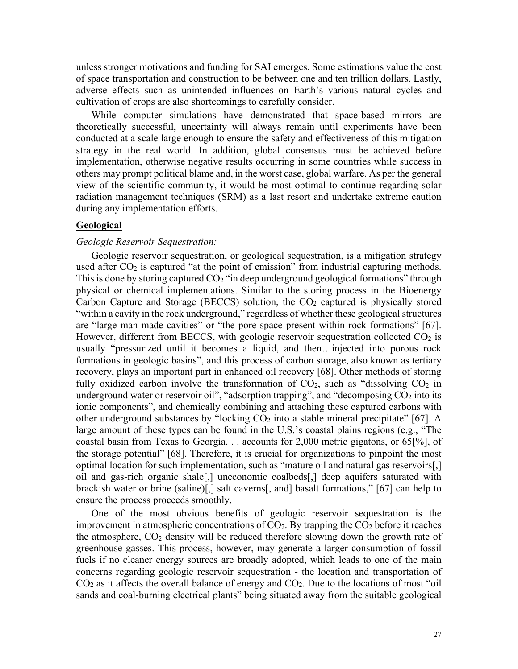unless stronger motivations and funding for SAI emerges. Some estimations value the cost of space transportation and construction to be between one and ten trillion dollars. Lastly, adverse effects such as unintended influences on Earth's various natural cycles and cultivation of crops are also shortcomings to carefully consider.

While computer simulations have demonstrated that space-based mirrors are theoretically successful, uncertainty will always remain until experiments have been conducted at a scale large enough to ensure the safety and effectiveness of this mitigation strategy in the real world. In addition, global consensus must be achieved before implementation, otherwise negative results occurring in some countries while success in others may prompt political blame and, in the worst case, global warfare. As per the general view of the scientific community, it would be most optimal to continue regarding solar radiation management techniques (SRM) as a last resort and undertake extreme caution during any implementation efforts.

# **Geological**

### *Geologic Reservoir Sequestration:*

Geologic reservoir sequestration, or geological sequestration, is a mitigation strategy used after  $CO<sub>2</sub>$  is captured "at the point of emission" from industrial capturing methods. This is done by storing captured  $CO<sub>2</sub>$  "in deep underground geological formations" through physical or chemical implementations. Similar to the storing process in the Bioenergy Carbon Capture and Storage (BECCS) solution, the  $CO<sub>2</sub>$  captured is physically stored "within a cavity in the rock underground," regardless of whether these geological structures are "large man-made cavities" or "the pore space present within rock formations" [67]. However, different from BECCS, with geologic reservoir sequestration collected CO<sub>2</sub> is usually "pressurized until it becomes a liquid, and then…injected into porous rock formations in geologic basins", and this process of carbon storage, also known as tertiary recovery, plays an important part in enhanced oil recovery [68]. Other methods of storing fully oxidized carbon involve the transformation of  $CO<sub>2</sub>$ , such as "dissolving  $CO<sub>2</sub>$  in underground water or reservoir oil", "adsorption trapping", and "decomposing  $CO<sub>2</sub>$  into its ionic components", and chemically combining and attaching these captured carbons with other underground substances by "locking  $CO<sub>2</sub>$  into a stable mineral precipitate" [67]. A large amount of these types can be found in the U.S.'s coastal plains regions (e.g., "The coastal basin from Texas to Georgia. . . accounts for 2,000 metric gigatons, or 65[%], of the storage potential" [68]. Therefore, it is crucial for organizations to pinpoint the most optimal location for such implementation, such as "mature oil and natural gas reservoirs[,] oil and gas-rich organic shale[,] uneconomic coalbeds[,] deep aquifers saturated with brackish water or brine (saline)[,] salt caverns[, and] basalt formations," [67] can help to ensure the process proceeds smoothly.

One of the most obvious benefits of geologic reservoir sequestration is the improvement in atmospheric concentrations of  $CO<sub>2</sub>$ . By trapping the  $CO<sub>2</sub>$  before it reaches the atmosphere,  $CO<sub>2</sub>$  density will be reduced therefore slowing down the growth rate of greenhouse gasses. This process, however, may generate a larger consumption of fossil fuels if no cleaner energy sources are broadly adopted, which leads to one of the main concerns regarding geologic reservoir sequestration - the location and transportation of  $CO<sub>2</sub>$  as it affects the overall balance of energy and  $CO<sub>2</sub>$ . Due to the locations of most "oil" sands and coal-burning electrical plants" being situated away from the suitable geological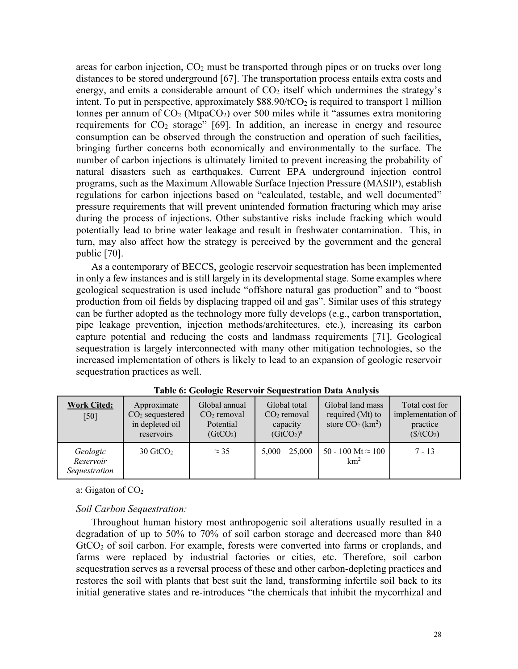areas for carbon injection,  $CO<sub>2</sub>$  must be transported through pipes or on trucks over long distances to be stored underground [67]. The transportation process entails extra costs and energy, and emits a considerable amount of  $CO<sub>2</sub>$  itself which undermines the strategy's intent. To put in perspective, approximately  $$88.90/tCO<sub>2</sub>$  is required to transport 1 million tonnes per annum of  $CO_2$  (Mtpa $CO_2$ ) over 500 miles while it "assumes extra monitoring requirements for CO<sub>2</sub> storage" [69]. In addition, an increase in energy and resource consumption can be observed through the construction and operation of such facilities, bringing further concerns both economically and environmentally to the surface. The number of carbon injections is ultimately limited to prevent increasing the probability of natural disasters such as earthquakes. Current EPA underground injection control programs, such as the Maximum Allowable Surface Injection Pressure (MASIP), establish regulations for carbon injections based on "calculated, testable, and well documented" pressure requirements that will prevent unintended formation fracturing which may arise during the process of injections. Other substantive risks include fracking which would potentially lead to brine water leakage and result in freshwater contamination. This, in turn, may also affect how the strategy is perceived by the government and the general public [70].

As a contemporary of BECCS, geologic reservoir sequestration has been implemented in only a few instances and is still largely in its developmental stage. Some examples where geological sequestration is used include "offshore natural gas production" and to "boost production from oil fields by displacing trapped oil and gas". Similar uses of this strategy can be further adopted as the technology more fully develops (e.g., carbon transportation, pipe leakage prevention, injection methods/architectures, etc.), increasing its carbon capture potential and reducing the costs and landmass requirements [71]. Geological sequestration is largely interconnected with many other mitigation technologies, so the increased implementation of others is likely to lead to an expansion of geologic reservoir sequestration practices as well.

| <b>Work Cited:</b><br>[50]             | Approximate<br>$CO2$ sequestered<br>in depleted oil<br>reservoirs | Global annual<br>$CO2$ removal<br>Potential<br>(GtCO <sub>2</sub> ) | Global total<br>$CO2$ removal<br>capacity<br>(GtCO <sub>2</sub> ) <sup>a</sup> | Global land mass<br>required (Mt) to<br>store $CO2$ (km <sup>2</sup> ) | Total cost for<br>implementation of<br>practice<br>(\$/tCO <sub>2</sub> ) |
|----------------------------------------|-------------------------------------------------------------------|---------------------------------------------------------------------|--------------------------------------------------------------------------------|------------------------------------------------------------------------|---------------------------------------------------------------------------|
| Geologic<br>Reservoir<br>Sequestration | $30 \text{ GtCO}_2$                                               | $\approx$ 35                                                        | $5,000 - 25,000$                                                               | 50 - 100 Mt $\approx$ 100<br>km <sup>2</sup>                           | $7 - 13$                                                                  |

**Table 6: Geologic Reservoir Sequestration Data Analysis**

a: Gigaton of  $CO<sub>2</sub>$ 

# *Soil Carbon Sequestration:*

Throughout human history most anthropogenic soil alterations usually resulted in a degradation of up to 50% to 70% of soil carbon storage and decreased more than 840 GtCO<sub>2</sub> of soil carbon. For example, forests were converted into farms or croplands, and farms were replaced by industrial factories or cities, etc. Therefore, soil carbon sequestration serves as a reversal process of these and other carbon-depleting practices and restores the soil with plants that best suit the land, transforming infertile soil back to its initial generative states and re-introduces "the chemicals that inhibit the mycorrhizal and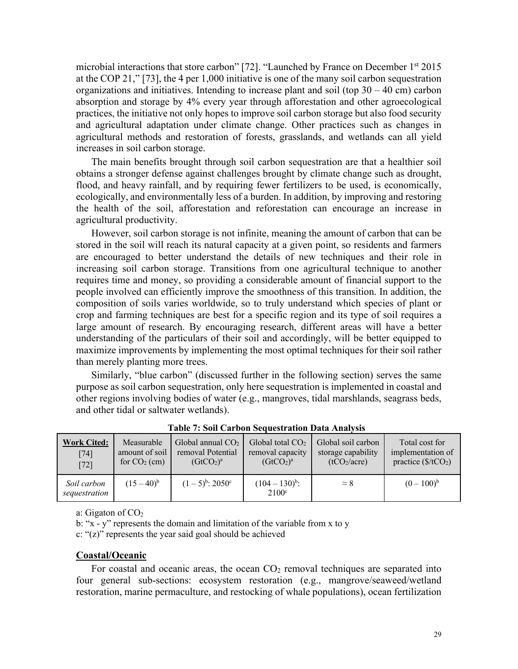microbial interactions that store carbon" [72]. "Launched by France on December 1<sup>st</sup> 2015 at the COP 21," [73], the 4 per 1,000 initiative is one of the many soil carbon sequestration organizations and initiatives. Intending to increase plant and soil (top  $30 - 40$  cm) carbon absorption and storage by 4% every year through afforestation and other agroecological practices, the initiative not only hopes to improve soil carbon storage but also food security and agricultural adaptation under climate change. Other practices such as changes in agricultural methods and restoration of forests, grasslands, and wetlands can all yield increases in soil carbon storage.

The main benefits brought through soil carbon sequestration are that a healthier soil obtains a stronger defense against challenges brought by climate change such as drought, flood, and heavy rainfall, and by requiring fewer fertilizers to be used, is economically, ecologically, and environmentally less of a burden. In addition, by improving and restoring the health of the soil, afforestation and reforestation can encourage an increase in agricultural productivity.

However, soil carbon storage is not infinite, meaning the amount of carbon that can be stored in the soil will reach its natural capacity at a given point, so residents and farmers are encouraged to better understand the details of new techniques and their role in increasing soil carbon storage. Transitions from one agricultural technique to another requires time and money, so providing a considerable amount of financial support to the people involved can efficiently improve the smoothness of this transition. In addition, the composition of soils varies worldwide, so to truly understand which species of plant or crop and farming techniques are best for a specific region and its type of soil requires a large amount of research. By encouraging research, different areas will have a better understanding of the particulars of their soil and accordingly, will be better equipped to maximize improvements by implementing the most optimal techniques for their soil rather than merely planting more trees.

Similarly, "blue carbon" (discussed further in the following section) serves the same purpose as soil carbon sequestration, only here sequestration is implemented in coastal and other regions involving bodies of water (e.g., mangroves, tidal marshlands, seagrass beds, and other tidal or saltwater wetlands).

| <b>Work Cited:</b>           | Measurable     | Global annual $CO2$               | Global total $CO2$                       | Global soil carbon       | Total cost for              |
|------------------------------|----------------|-----------------------------------|------------------------------------------|--------------------------|-----------------------------|
| [74]                         | amount of soil | removal Potential                 | removal capacity                         | storage capability       | implementation of           |
| $[72]$                       | for $CO2$ (cm) | (GtCO <sub>2</sub> ) <sup>a</sup> | (GtCO <sub>2</sub> ) <sup>a</sup>        | (tCO <sub>2</sub> /acre) | practice $(\frac{f}{CO_2})$ |
| Soil carbon<br>sequestration | $(15-40)^{b}$  | $(1-5)^{b}$ : 2050 <sup>c</sup>   | $(104 - 130)^{b}$ :<br>2100 <sup>c</sup> | $\approx 8$              | $(0-100)^{b}$               |

**Table 7: Soil Carbon Sequestration Data Analysis**

a: Gigaton of  $CO<sub>2</sub>$ 

b: "x - y" represents the domain and limitation of the variable from x to y

c: "(z)" represents the year said goal should be achieved

#### **Coastal/Oceanic**

For coastal and oceanic areas, the ocean  $CO<sub>2</sub>$  removal techniques are separated into four general sub-sections: ecosystem restoration (e.g., mangrove/seaweed/wetland restoration, marine permaculture, and restocking of whale populations), ocean fertilization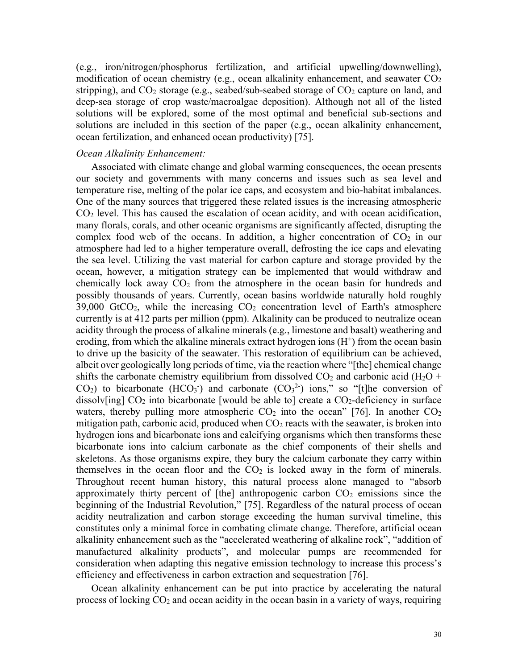(e.g., iron/nitrogen/phosphorus fertilization, and artificial upwelling/downwelling), modification of ocean chemistry (e.g., ocean alkalinity enhancement, and seawater  $CO<sub>2</sub>$ stripping), and  $CO_2$  storage (e.g., seabed/sub-seabed storage of  $CO_2$  capture on land, and deep-sea storage of crop waste/macroalgae deposition). Although not all of the listed solutions will be explored, some of the most optimal and beneficial sub-sections and solutions are included in this section of the paper (e.g., ocean alkalinity enhancement, ocean fertilization, and enhanced ocean productivity) [75].

### *Ocean Alkalinity Enhancement:*

Associated with climate change and global warming consequences, the ocean presents our society and governments with many concerns and issues such as sea level and temperature rise, melting of the polar ice caps, and ecosystem and bio-habitat imbalances. One of the many sources that triggered these related issues is the increasing atmospheric  $CO<sub>2</sub>$  level. This has caused the escalation of ocean acidity, and with ocean acidification, many florals, corals, and other oceanic organisms are significantly affected, disrupting the complex food web of the oceans. In addition, a higher concentration of  $CO<sub>2</sub>$  in our atmosphere had led to a higher temperature overall, defrosting the ice caps and elevating the sea level. Utilizing the vast material for carbon capture and storage provided by the ocean, however, a mitigation strategy can be implemented that would withdraw and chemically lock away  $CO<sub>2</sub>$  from the atmosphere in the ocean basin for hundreds and possibly thousands of years. Currently, ocean basins worldwide naturally hold roughly  $39,000$  GtCO<sub>2</sub>, while the increasing CO<sub>2</sub> concentration level of Earth's atmosphere currently is at 412 parts per million (ppm). Alkalinity can be produced to neutralize ocean acidity through the process of alkaline minerals (e.g., limestone and basalt) weathering and eroding, from which the alkaline minerals extract hydrogen ions  $(H<sup>+</sup>)$  from the ocean basin to drive up the basicity of the seawater. This restoration of equilibrium can be achieved, albeit over geologically long periods of time, via the reaction where "[the] chemical change shifts the carbonate chemistry equilibrium from dissolved  $CO_2$  and carbonic acid (H<sub>2</sub>O +  $CO<sub>2</sub>$ ) to bicarbonate (HCO<sub>3</sub><sup>-</sup>) and carbonate (CO<sub>3</sub><sup>2</sup>) ions," so "[t]he conversion of dissolv[ing]  $CO<sub>2</sub>$  into bicarbonate [would be able to] create a  $CO<sub>2</sub>$ -deficiency in surface waters, thereby pulling more atmospheric  $CO<sub>2</sub>$  into the ocean" [76]. In another  $CO<sub>2</sub>$ mitigation path, carbonic acid, produced when  $CO<sub>2</sub>$  reacts with the seawater, is broken into hydrogen ions and bicarbonate ions and calcifying organisms which then transforms these bicarbonate ions into calcium carbonate as the chief components of their shells and skeletons. As those organisms expire, they bury the calcium carbonate they carry within themselves in the ocean floor and the  $CO<sub>2</sub>$  is locked away in the form of minerals. Throughout recent human history, this natural process alone managed to "absorb approximately thirty percent of [the] anthropogenic carbon  $CO<sub>2</sub>$  emissions since the beginning of the Industrial Revolution," [75]. Regardless of the natural process of ocean acidity neutralization and carbon storage exceeding the human survival timeline, this constitutes only a minimal force in combating climate change. Therefore, artificial ocean alkalinity enhancement such as the "accelerated weathering of alkaline rock", "addition of manufactured alkalinity products", and molecular pumps are recommended for consideration when adapting this negative emission technology to increase this process's efficiency and effectiveness in carbon extraction and sequestration [76].

Ocean alkalinity enhancement can be put into practice by accelerating the natural process of locking  $CO<sub>2</sub>$  and ocean acidity in the ocean basin in a variety of ways, requiring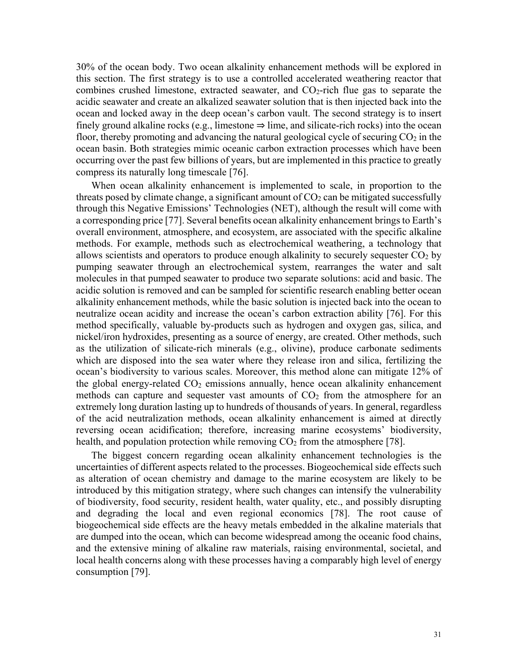30% of the ocean body. Two ocean alkalinity enhancement methods will be explored in this section. The first strategy is to use a controlled accelerated weathering reactor that combines crushed limestone, extracted seawater, and  $CO<sub>2</sub>$ -rich flue gas to separate the acidic seawater and create an alkalized seawater solution that is then injected back into the ocean and locked away in the deep ocean's carbon vault. The second strategy is to insert finely ground alkaline rocks (e.g., limestone  $\Rightarrow$  lime, and silicate-rich rocks) into the ocean floor, thereby promoting and advancing the natural geological cycle of securing  $CO<sub>2</sub>$  in the ocean basin. Both strategies mimic oceanic carbon extraction processes which have been occurring over the past few billions of years, but are implemented in this practice to greatly compress its naturally long timescale [76].

When ocean alkalinity enhancement is implemented to scale, in proportion to the threats posed by climate change, a significant amount of  $CO<sub>2</sub>$  can be mitigated successfully through this Negative Emissions' Technologies (NET), although the result will come with a corresponding price [77]. Several benefits ocean alkalinity enhancement brings to Earth's overall environment, atmosphere, and ecosystem, are associated with the specific alkaline methods. For example, methods such as electrochemical weathering, a technology that allows scientists and operators to produce enough alkalinity to securely sequester  $CO<sub>2</sub>$  by pumping seawater through an electrochemical system, rearranges the water and salt molecules in that pumped seawater to produce two separate solutions: acid and basic. The acidic solution is removed and can be sampled for scientific research enabling better ocean alkalinity enhancement methods, while the basic solution is injected back into the ocean to neutralize ocean acidity and increase the ocean's carbon extraction ability [76]. For this method specifically, valuable by-products such as hydrogen and oxygen gas, silica, and nickel/iron hydroxides, presenting as a source of energy, are created. Other methods, such as the utilization of silicate-rich minerals (e.g., olivine), produce carbonate sediments which are disposed into the sea water where they release iron and silica, fertilizing the ocean's biodiversity to various scales. Moreover, this method alone can mitigate 12% of the global energy-related  $CO<sub>2</sub>$  emissions annually, hence ocean alkalinity enhancement methods can capture and sequester vast amounts of  $CO<sub>2</sub>$  from the atmosphere for an extremely long duration lasting up to hundreds of thousands of years. In general, regardless of the acid neutralization methods, ocean alkalinity enhancement is aimed at directly reversing ocean acidification; therefore, increasing marine ecosystems' biodiversity, health, and population protection while removing  $CO<sub>2</sub>$  from the atmosphere [78].

The biggest concern regarding ocean alkalinity enhancement technologies is the uncertainties of different aspects related to the processes. Biogeochemical side effects such as alteration of ocean chemistry and damage to the marine ecosystem are likely to be introduced by this mitigation strategy, where such changes can intensify the vulnerability of biodiversity, food security, resident health, water quality, etc., and possibly disrupting and degrading the local and even regional economics [78]. The root cause of biogeochemical side effects are the heavy metals embedded in the alkaline materials that are dumped into the ocean, which can become widespread among the oceanic food chains, and the extensive mining of alkaline raw materials, raising environmental, societal, and local health concerns along with these processes having a comparably high level of energy consumption [79].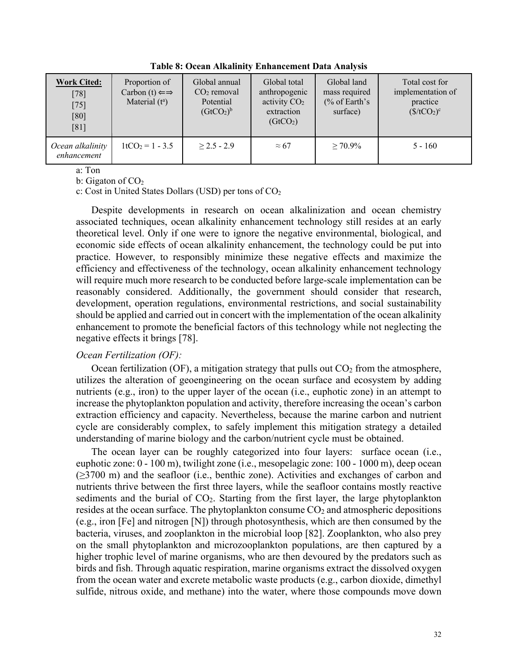| <b>Work Cited:</b><br>$[78]$<br>$[75]$<br>[80]<br>[81] | Proportion of<br>Carbon (t) $\Leftarrow$<br>Material $(t^a)$ | Global annual<br>$CO2$ removal<br>Potential<br>(GtCO <sub>2</sub> ) <sup>b</sup> | Global total<br>anthropogenic<br>activity $CO2$<br>extraction<br>(GtCO <sub>2</sub> ) | Global land<br>mass required<br>$\frac{6}{6}$ of Earth's<br>surface) | Total cost for<br>implementation of<br>practice<br>$(\frac{\text{C}}{\text{C}})(C_2)^c$ |
|--------------------------------------------------------|--------------------------------------------------------------|----------------------------------------------------------------------------------|---------------------------------------------------------------------------------------|----------------------------------------------------------------------|-----------------------------------------------------------------------------------------|
| Ocean alkalinity<br>enhancement                        | $1tCO2 = 1 - 3.5$                                            | $> 2.5 - 2.9$                                                                    | $\approx 67$                                                                          | $> 70.9\%$                                                           | $5 - 160$                                                                               |

**Table 8: Ocean Alkalinity Enhancement Data Analysis**

a: Ton

b: Gigaton of  $CO<sub>2</sub>$ 

c: Cost in United States Dollars (USD) per tons of  $CO<sub>2</sub>$ 

Despite developments in research on ocean alkalinization and ocean chemistry associated techniques, ocean alkalinity enhancement technology still resides at an early theoretical level. Only if one were to ignore the negative environmental, biological, and economic side effects of ocean alkalinity enhancement, the technology could be put into practice. However, to responsibly minimize these negative effects and maximize the efficiency and effectiveness of the technology, ocean alkalinity enhancement technology will require much more research to be conducted before large-scale implementation can be reasonably considered. Additionally, the government should consider that research, development, operation regulations, environmental restrictions, and social sustainability should be applied and carried out in concert with the implementation of the ocean alkalinity enhancement to promote the beneficial factors of this technology while not neglecting the negative effects it brings [78].

#### *Ocean Fertilization (OF):*

Ocean fertilization (OF), a mitigation strategy that pulls out  $CO<sub>2</sub>$  from the atmosphere, utilizes the alteration of geoengineering on the ocean surface and ecosystem by adding nutrients (e.g., iron) to the upper layer of the ocean (i.e., euphotic zone) in an attempt to increase the phytoplankton population and activity, therefore increasing the ocean's carbon extraction efficiency and capacity. Nevertheless, because the marine carbon and nutrient cycle are considerably complex, to safely implement this mitigation strategy a detailed understanding of marine biology and the carbon/nutrient cycle must be obtained.

The ocean layer can be roughly categorized into four layers: surface ocean (i.e., euphotic zone: 0 - 100 m), twilight zone (i.e., mesopelagic zone: 100 - 1000 m), deep ocean (≥3700 m) and the seafloor (i.e., benthic zone). Activities and exchanges of carbon and nutrients thrive between the first three layers, while the seafloor contains mostly reactive sediments and the burial of  $CO<sub>2</sub>$ . Starting from the first layer, the large phytoplankton resides at the ocean surface. The phytoplankton consume  $CO<sub>2</sub>$  and atmospheric depositions (e.g., iron [Fe] and nitrogen [N]) through photosynthesis, which are then consumed by the bacteria, viruses, and zooplankton in the microbial loop [82]. Zooplankton, who also prey on the small phytoplankton and microzooplankton populations, are then captured by a higher trophic level of marine organisms, who are then devoured by the predators such as birds and fish. Through aquatic respiration, marine organisms extract the dissolved oxygen from the ocean water and excrete metabolic waste products (e.g., carbon dioxide, dimethyl sulfide, nitrous oxide, and methane) into the water, where those compounds move down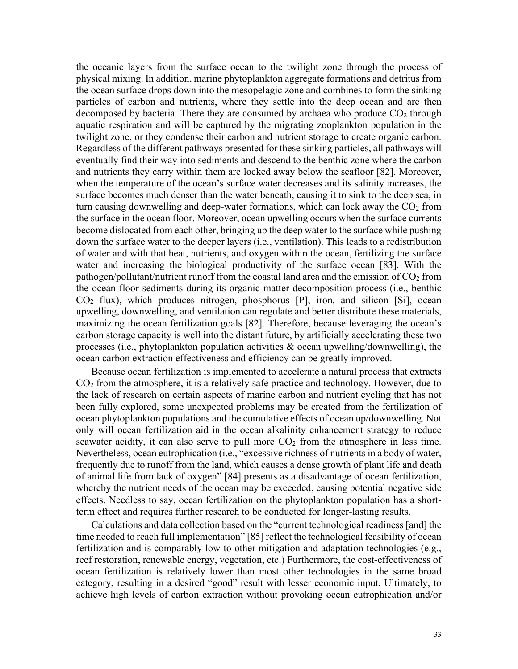the oceanic layers from the surface ocean to the twilight zone through the process of physical mixing. In addition, marine phytoplankton aggregate formations and detritus from the ocean surface drops down into the mesopelagic zone and combines to form the sinking particles of carbon and nutrients, where they settle into the deep ocean and are then decomposed by bacteria. There they are consumed by archaea who produce  $CO<sub>2</sub>$  through aquatic respiration and will be captured by the migrating zooplankton population in the twilight zone, or they condense their carbon and nutrient storage to create organic carbon. Regardless of the different pathways presented for these sinking particles, all pathways will eventually find their way into sediments and descend to the benthic zone where the carbon and nutrients they carry within them are locked away below the seafloor [82]. Moreover, when the temperature of the ocean's surface water decreases and its salinity increases, the surface becomes much denser than the water beneath, causing it to sink to the deep sea, in turn causing downwelling and deep-water formations, which can lock away the  $CO<sub>2</sub>$  from the surface in the ocean floor. Moreover, ocean upwelling occurs when the surface currents become dislocated from each other, bringing up the deep water to the surface while pushing down the surface water to the deeper layers (i.e., ventilation). This leads to a redistribution of water and with that heat, nutrients, and oxygen within the ocean, fertilizing the surface water and increasing the biological productivity of the surface ocean [83]. With the pathogen/pollutant/nutrient runoff from the coastal land area and the emission of  $CO<sub>2</sub>$  from the ocean floor sediments during its organic matter decomposition process (i.e., benthic  $CO<sub>2</sub>$  flux), which produces nitrogen, phosphorus [P], iron, and silicon [Si], ocean upwelling, downwelling, and ventilation can regulate and better distribute these materials, maximizing the ocean fertilization goals [82]. Therefore, because leveraging the ocean's carbon storage capacity is well into the distant future, by artificially accelerating these two processes (i.e., phytoplankton population activities  $\&$  ocean upwelling/downwelling), the ocean carbon extraction effectiveness and efficiency can be greatly improved.

Because ocean fertilization is implemented to accelerate a natural process that extracts  $CO<sub>2</sub>$  from the atmosphere, it is a relatively safe practice and technology. However, due to the lack of research on certain aspects of marine carbon and nutrient cycling that has not been fully explored, some unexpected problems may be created from the fertilization of ocean phytoplankton populations and the cumulative effects of ocean up/downwelling. Not only will ocean fertilization aid in the ocean alkalinity enhancement strategy to reduce seawater acidity, it can also serve to pull more  $CO<sub>2</sub>$  from the atmosphere in less time. Nevertheless, ocean eutrophication (i.e., "excessive richness of nutrients in a body of water, frequently due to runoff from the land, which causes a dense growth of plant life and death of animal life from lack of oxygen" [84] presents as a disadvantage of ocean fertilization, whereby the nutrient needs of the ocean may be exceeded, causing potential negative side effects. Needless to say, ocean fertilization on the phytoplankton population has a shortterm effect and requires further research to be conducted for longer-lasting results.

Calculations and data collection based on the "current technological readiness [and] the time needed to reach full implementation" [85] reflect the technological feasibility of ocean fertilization and is comparably low to other mitigation and adaptation technologies (e.g., reef restoration, renewable energy, vegetation, etc.) Furthermore, the cost-effectiveness of ocean fertilization is relatively lower than most other technologies in the same broad category, resulting in a desired "good" result with lesser economic input. Ultimately, to achieve high levels of carbon extraction without provoking ocean eutrophication and/or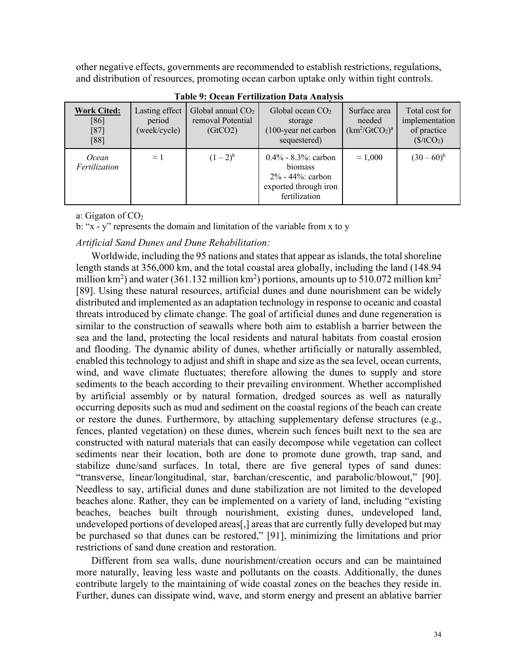other negative effects, governments are recommended to establish restrictions, regulations, and distribution of resources, promoting ocean carbon uptake only within tight controls.

| <b>Work Cited:</b><br>$[86]$<br>$[87]$<br>[88] | Lasting effect<br>period<br>(week/cycle) | Global annual $CO2$<br>removal Potential<br>(GtCO2) | Global ocean $CO2$<br>storage<br>$(100$ -year net carbon<br>sequestered)                        | Surface area<br>needed<br>$(km^2/GtCO_2)^a$ | Total cost for<br>implementation<br>of practice<br>(\$/tCO <sub>2</sub> ) |
|------------------------------------------------|------------------------------------------|-----------------------------------------------------|-------------------------------------------------------------------------------------------------|---------------------------------------------|---------------------------------------------------------------------------|
| Ocean<br>Fertilization                         | $\approx$ 1                              | $(1-2)^{b}$                                         | $0.4\%$ - 8.3%; carbon<br>biomass<br>2% - 44%: carbon<br>exported through iron<br>fertilization | $\approx 1,000$                             | $(30-60)^{b}$                                                             |

**Table 9: Ocean Fertilization Data Analysis**

a: Gigaton of  $CO<sub>2</sub>$ 

b: "x - y" represents the domain and limitation of the variable from x to y

# *Artificial Sand Dunes and Dune Rehabilitation:*

Worldwide, including the 95 nations and states that appear as islands, the total shoreline length stands at 356,000 km, and the total coastal area globally, including the land (148.94 million km<sup>2</sup>) and water (361.132 million km<sup>2</sup>) portions, amounts up to 510.072 million km<sup>2</sup> [89]. Using these natural resources, artificial dunes and dune nourishment can be widely distributed and implemented as an adaptation technology in response to oceanic and coastal threats introduced by climate change. The goal of artificial dunes and dune regeneration is similar to the construction of seawalls where both aim to establish a barrier between the sea and the land, protecting the local residents and natural habitats from coastal erosion and flooding. The dynamic ability of dunes, whether artificially or naturally assembled, enabled this technology to adjust and shift in shape and size as the sea level, ocean currents, wind, and wave climate fluctuates; therefore allowing the dunes to supply and store sediments to the beach according to their prevailing environment. Whether accomplished by artificial assembly or by natural formation, dredged sources as well as naturally occurring deposits such as mud and sediment on the coastal regions of the beach can create or restore the dunes. Furthermore, by attaching supplementary defense structures (e.g., fences, planted vegetation) on these dunes, wherein such fences built next to the sea are constructed with natural materials that can easily decompose while vegetation can collect sediments near their location, both are done to promote dune growth, trap sand, and stabilize dune/sand surfaces. In total, there are five general types of sand dunes: "transverse, linear/longitudinal, star, barchan/crescentic, and parabolic/blowout," [90]. Needless to say, artificial dunes and dune stabilization are not limited to the developed beaches alone. Rather, they can be implemented on a variety of land, including "existing beaches, beaches built through nourishment, existing dunes, undeveloped land, undeveloped portions of developed areas[,] areas that are currently fully developed but may be purchased so that dunes can be restored," [91], minimizing the limitations and prior restrictions of sand dune creation and restoration.

Different from sea walls, dune nourishment/creation occurs and can be maintained more naturally, leaving less waste and pollutants on the coasts. Additionally, the dunes contribute largely to the maintaining of wide coastal zones on the beaches they reside in. Further, dunes can dissipate wind, wave, and storm energy and present an ablative barrier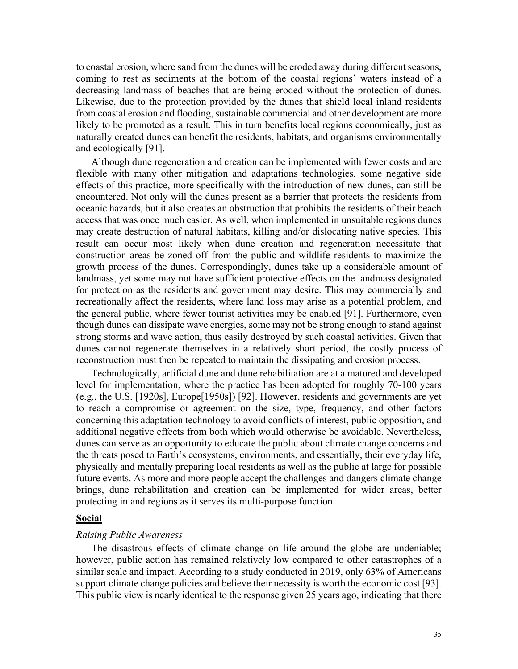to coastal erosion, where sand from the dunes will be eroded away during different seasons, coming to rest as sediments at the bottom of the coastal regions' waters instead of a decreasing landmass of beaches that are being eroded without the protection of dunes. Likewise, due to the protection provided by the dunes that shield local inland residents from coastal erosion and flooding, sustainable commercial and other development are more likely to be promoted as a result. This in turn benefits local regions economically, just as naturally created dunes can benefit the residents, habitats, and organisms environmentally and ecologically [91].

Although dune regeneration and creation can be implemented with fewer costs and are flexible with many other mitigation and adaptations technologies, some negative side effects of this practice, more specifically with the introduction of new dunes, can still be encountered. Not only will the dunes present as a barrier that protects the residents from oceanic hazards, but it also creates an obstruction that prohibits the residents of their beach access that was once much easier. As well, when implemented in unsuitable regions dunes may create destruction of natural habitats, killing and/or dislocating native species. This result can occur most likely when dune creation and regeneration necessitate that construction areas be zoned off from the public and wildlife residents to maximize the growth process of the dunes. Correspondingly, dunes take up a considerable amount of landmass, yet some may not have sufficient protective effects on the landmass designated for protection as the residents and government may desire. This may commercially and recreationally affect the residents, where land loss may arise as a potential problem, and the general public, where fewer tourist activities may be enabled [91]. Furthermore, even though dunes can dissipate wave energies, some may not be strong enough to stand against strong storms and wave action, thus easily destroyed by such coastal activities. Given that dunes cannot regenerate themselves in a relatively short period, the costly process of reconstruction must then be repeated to maintain the dissipating and erosion process.

Technologically, artificial dune and dune rehabilitation are at a matured and developed level for implementation, where the practice has been adopted for roughly 70-100 years (e.g., the U.S. [1920s], Europe[1950s]) [92]. However, residents and governments are yet to reach a compromise or agreement on the size, type, frequency, and other factors concerning this adaptation technology to avoid conflicts of interest, public opposition, and additional negative effects from both which would otherwise be avoidable. Nevertheless, dunes can serve as an opportunity to educate the public about climate change concerns and the threats posed to Earth's ecosystems, environments, and essentially, their everyday life, physically and mentally preparing local residents as well as the public at large for possible future events. As more and more people accept the challenges and dangers climate change brings, dune rehabilitation and creation can be implemented for wider areas, better protecting inland regions as it serves its multi-purpose function.

### **Social**

#### *Raising Public Awareness*

The disastrous effects of climate change on life around the globe are undeniable; however, public action has remained relatively low compared to other catastrophes of a similar scale and impact. According to a study conducted in 2019, only 63% of Americans support climate change policies and believe their necessity is worth the economic cost [93]. This public view is nearly identical to the response given 25 years ago, indicating that there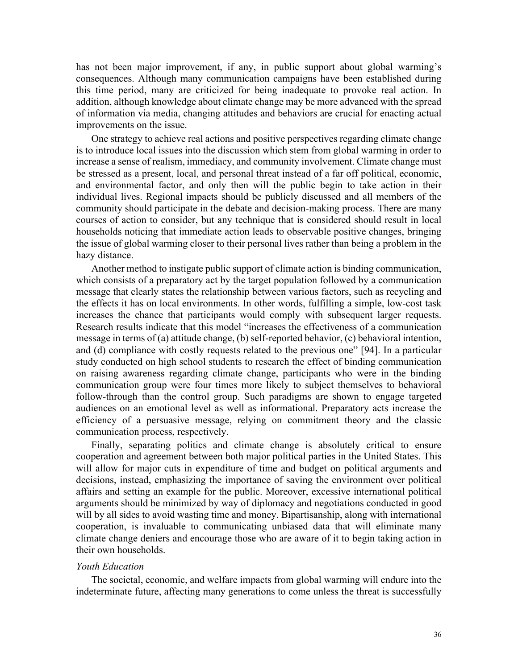has not been major improvement, if any, in public support about global warming's consequences. Although many communication campaigns have been established during this time period, many are criticized for being inadequate to provoke real action. In addition, although knowledge about climate change may be more advanced with the spread of information via media, changing attitudes and behaviors are crucial for enacting actual improvements on the issue.

One strategy to achieve real actions and positive perspectives regarding climate change is to introduce local issues into the discussion which stem from global warming in order to increase a sense of realism, immediacy, and community involvement. Climate change must be stressed as a present, local, and personal threat instead of a far off political, economic, and environmental factor, and only then will the public begin to take action in their individual lives. Regional impacts should be publicly discussed and all members of the community should participate in the debate and decision-making process. There are many courses of action to consider, but any technique that is considered should result in local households noticing that immediate action leads to observable positive changes, bringing the issue of global warming closer to their personal lives rather than being a problem in the hazy distance.

Another method to instigate public support of climate action is binding communication, which consists of a preparatory act by the target population followed by a communication message that clearly states the relationship between various factors, such as recycling and the effects it has on local environments. In other words, fulfilling a simple, low-cost task increases the chance that participants would comply with subsequent larger requests. Research results indicate that this model "increases the effectiveness of a communication message in terms of (a) attitude change, (b) self-reported behavior, (c) behavioral intention, and (d) compliance with costly requests related to the previous one" [94]. In a particular study conducted on high school students to research the effect of binding communication on raising awareness regarding climate change, participants who were in the binding communication group were four times more likely to subject themselves to behavioral follow-through than the control group. Such paradigms are shown to engage targeted audiences on an emotional level as well as informational. Preparatory acts increase the efficiency of a persuasive message, relying on commitment theory and the classic communication process, respectively.

Finally, separating politics and climate change is absolutely critical to ensure cooperation and agreement between both major political parties in the United States. This will allow for major cuts in expenditure of time and budget on political arguments and decisions, instead, emphasizing the importance of saving the environment over political affairs and setting an example for the public. Moreover, excessive international political arguments should be minimized by way of diplomacy and negotiations conducted in good will by all sides to avoid wasting time and money. Bipartisanship, along with international cooperation, is invaluable to communicating unbiased data that will eliminate many climate change deniers and encourage those who are aware of it to begin taking action in their own households.

### *Youth Education*

The societal, economic, and welfare impacts from global warming will endure into the indeterminate future, affecting many generations to come unless the threat is successfully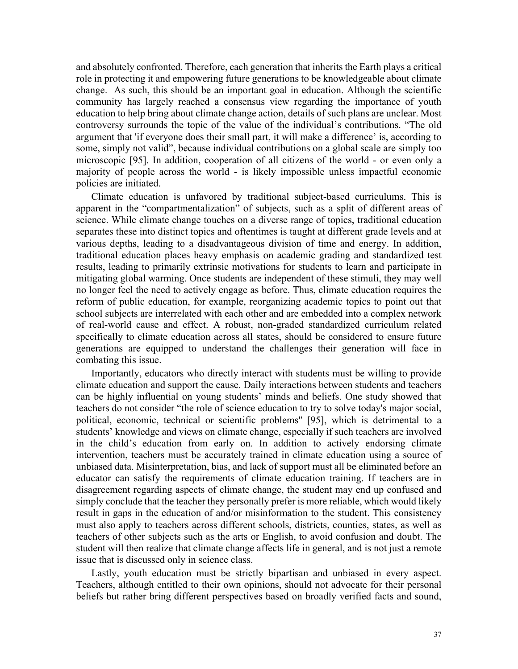and absolutely confronted. Therefore, each generation that inherits the Earth plays a critical role in protecting it and empowering future generations to be knowledgeable about climate change. As such, this should be an important goal in education. Although the scientific community has largely reached a consensus view regarding the importance of youth education to help bring about climate change action, details of such plans are unclear. Most controversy surrounds the topic of the value of the individual's contributions. "The old argument that 'if everyone does their small part, it will make a difference' is, according to some, simply not valid", because individual contributions on a global scale are simply too microscopic [95]. In addition, cooperation of all citizens of the world - or even only a majority of people across the world - is likely impossible unless impactful economic policies are initiated.

Climate education is unfavored by traditional subject-based curriculums. This is apparent in the "compartmentalization" of subjects, such as a split of different areas of science. While climate change touches on a diverse range of topics, traditional education separates these into distinct topics and oftentimes is taught at different grade levels and at various depths, leading to a disadvantageous division of time and energy. In addition, traditional education places heavy emphasis on academic grading and standardized test results, leading to primarily extrinsic motivations for students to learn and participate in mitigating global warming. Once students are independent of these stimuli, they may well no longer feel the need to actively engage as before. Thus, climate education requires the reform of public education, for example, reorganizing academic topics to point out that school subjects are interrelated with each other and are embedded into a complex network of real-world cause and effect. A robust, non-graded standardized curriculum related specifically to climate education across all states, should be considered to ensure future generations are equipped to understand the challenges their generation will face in combating this issue.

Importantly, educators who directly interact with students must be willing to provide climate education and support the cause. Daily interactions between students and teachers can be highly influential on young students' minds and beliefs. One study showed that teachers do not consider "the role of science education to try to solve today's major social, political, economic, technical or scientific problems'' [95], which is detrimental to a students' knowledge and views on climate change, especially if such teachers are involved in the child's education from early on. In addition to actively endorsing climate intervention, teachers must be accurately trained in climate education using a source of unbiased data. Misinterpretation, bias, and lack of support must all be eliminated before an educator can satisfy the requirements of climate education training. If teachers are in disagreement regarding aspects of climate change, the student may end up confused and simply conclude that the teacher they personally prefer is more reliable, which would likely result in gaps in the education of and/or misinformation to the student. This consistency must also apply to teachers across different schools, districts, counties, states, as well as teachers of other subjects such as the arts or English, to avoid confusion and doubt. The student will then realize that climate change affects life in general, and is not just a remote issue that is discussed only in science class.

Lastly, youth education must be strictly bipartisan and unbiased in every aspect. Teachers, although entitled to their own opinions, should not advocate for their personal beliefs but rather bring different perspectives based on broadly verified facts and sound,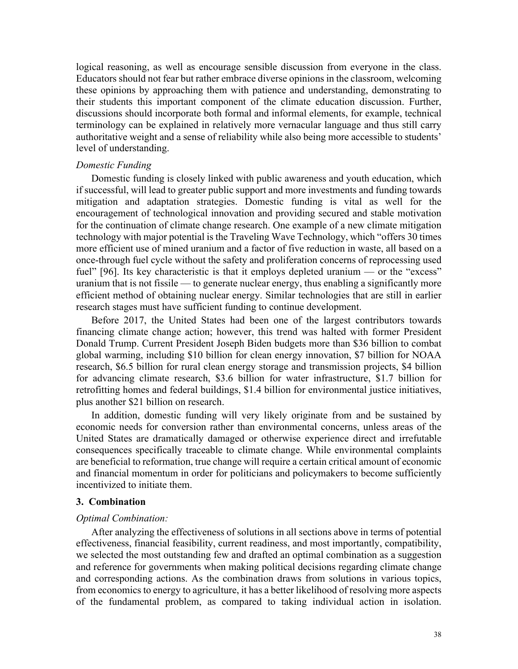logical reasoning, as well as encourage sensible discussion from everyone in the class. Educators should not fear but rather embrace diverse opinions in the classroom, welcoming these opinions by approaching them with patience and understanding, demonstrating to their students this important component of the climate education discussion. Further, discussions should incorporate both formal and informal elements, for example, technical terminology can be explained in relatively more vernacular language and thus still carry authoritative weight and a sense of reliability while also being more accessible to students' level of understanding.

### *Domestic Funding*

Domestic funding is closely linked with public awareness and youth education, which if successful, will lead to greater public support and more investments and funding towards mitigation and adaptation strategies. Domestic funding is vital as well for the encouragement of technological innovation and providing secured and stable motivation for the continuation of climate change research. One example of a new climate mitigation technology with major potential is the Traveling Wave Technology, which "offers 30 times more efficient use of mined uranium and a factor of five reduction in waste, all based on a once-through fuel cycle without the safety and proliferation concerns of reprocessing used fuel" [96]. Its key characteristic is that it employs depleted uranium — or the "excess" uranium that is not fissile — to generate nuclear energy, thus enabling a significantly more efficient method of obtaining nuclear energy. Similar technologies that are still in earlier research stages must have sufficient funding to continue development.

Before 2017, the United States had been one of the largest contributors towards financing climate change action; however, this trend was halted with former President Donald Trump. Current President Joseph Biden budgets more than \$36 billion to combat global warming, including \$10 billion for clean energy innovation, \$7 billion for NOAA research, \$6.5 billion for rural clean energy storage and transmission projects, \$4 billion for advancing climate research, \$3.6 billion for water infrastructure, \$1.7 billion for retrofitting homes and federal buildings, \$1.4 billion for environmental justice initiatives, plus another \$21 billion on research.

In addition, domestic funding will very likely originate from and be sustained by economic needs for conversion rather than environmental concerns, unless areas of the United States are dramatically damaged or otherwise experience direct and irrefutable consequences specifically traceable to climate change. While environmental complaints are beneficial to reformation, true change will require a certain critical amount of economic and financial momentum in order for politicians and policymakers to become sufficiently incentivized to initiate them.

# **3. Combination**

#### *Optimal Combination:*

After analyzing the effectiveness of solutions in all sections above in terms of potential effectiveness, financial feasibility, current readiness, and most importantly, compatibility, we selected the most outstanding few and drafted an optimal combination as a suggestion and reference for governments when making political decisions regarding climate change and corresponding actions. As the combination draws from solutions in various topics, from economics to energy to agriculture, it has a better likelihood of resolving more aspects of the fundamental problem, as compared to taking individual action in isolation.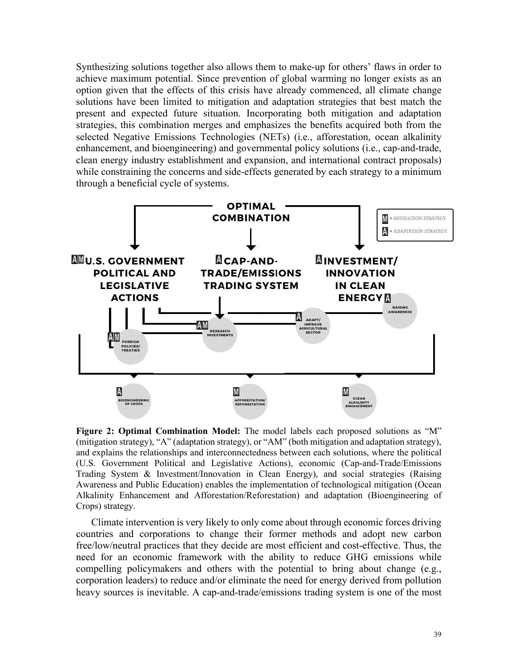Synthesizing solutions together also allows them to make-up for others' flaws in order to achieve maximum potential. Since prevention of global warming no longer exists as an option given that the effects of this crisis have already commenced, all climate change solutions have been limited to mitigation and adaptation strategies that best match the present and expected future situation. Incorporating both mitigation and adaptation strategies, this combination merges and emphasizes the benefits acquired both from the selected Negative Emissions Technologies (NETs) (i.e., afforestation, ocean alkalinity enhancement, and bioengineering) and governmental policy solutions (i.e., cap-and-trade, clean energy industry establishment and expansion, and international contract proposals) while constraining the concerns and side-effects generated by each strategy to a minimum through a beneficial cycle of systems.



**Figure 2: Optimal Combination Model:** The model labels each proposed solutions as "M" (mitigation strategy), "A" (adaptation strategy), or "AM" (both mitigation and adaptation strategy), and explains the relationships and interconnectedness between each solutions, where the political (U.S. Government Political and Legislative Actions), economic (Cap-and-Trade/Emissions Trading System & Investment/Innovation in Clean Energy), and social strategies (Raising Awareness and Public Education) enables the implementation of technological mitigation (Ocean Alkalinity Enhancement and Afforestation/Reforestation) and adaptation (Bioengineering of Crops) strategy.

Climate intervention is very likely to only come about through economic forces driving countries and corporations to change their former methods and adopt new carbon free/low/neutral practices that they decide are most efficient and cost-effective. Thus, the need for an economic framework with the ability to reduce GHG emissions while compelling policymakers and others with the potential to bring about change (e.g., corporation leaders) to reduce and/or eliminate the need for energy derived from pollution heavy sources is inevitable. A cap-and-trade/emissions trading system is one of the most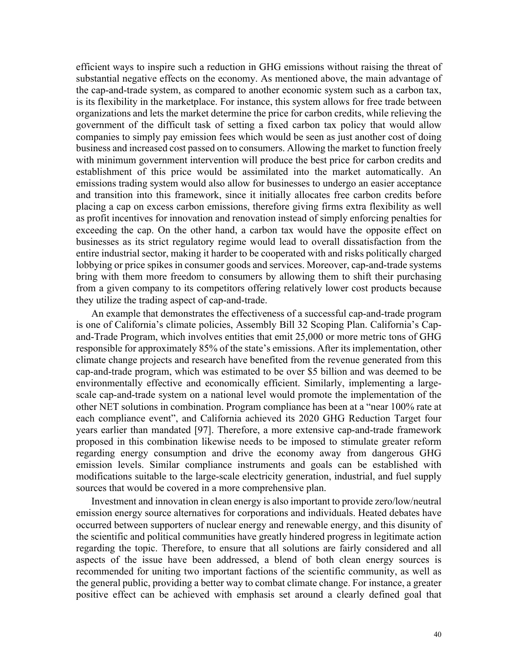efficient ways to inspire such a reduction in GHG emissions without raising the threat of substantial negative effects on the economy. As mentioned above, the main advantage of the cap-and-trade system, as compared to another economic system such as a carbon tax, is its flexibility in the marketplace. For instance, this system allows for free trade between organizations and lets the market determine the price for carbon credits, while relieving the government of the difficult task of setting a fixed carbon tax policy that would allow companies to simply pay emission fees which would be seen as just another cost of doing business and increased cost passed on to consumers. Allowing the market to function freely with minimum government intervention will produce the best price for carbon credits and establishment of this price would be assimilated into the market automatically. An emissions trading system would also allow for businesses to undergo an easier acceptance and transition into this framework, since it initially allocates free carbon credits before placing a cap on excess carbon emissions, therefore giving firms extra flexibility as well as profit incentives for innovation and renovation instead of simply enforcing penalties for exceeding the cap. On the other hand, a carbon tax would have the opposite effect on businesses as its strict regulatory regime would lead to overall dissatisfaction from the entire industrial sector, making it harder to be cooperated with and risks politically charged lobbying or price spikes in consumer goods and services. Moreover, cap-and-trade systems bring with them more freedom to consumers by allowing them to shift their purchasing from a given company to its competitors offering relatively lower cost products because they utilize the trading aspect of cap-and-trade.

An example that demonstrates the effectiveness of a successful cap-and-trade program is one of California's climate policies, Assembly Bill 32 Scoping Plan. California's Capand-Trade Program, which involves entities that emit 25,000 or more metric tons of GHG responsible for approximately 85% of the state's emissions. After its implementation, other climate change projects and research have benefited from the revenue generated from this cap-and-trade program, which was estimated to be over \$5 billion and was deemed to be environmentally effective and economically efficient. Similarly, implementing a largescale cap-and-trade system on a national level would promote the implementation of the other NET solutions in combination. Program compliance has been at a "near 100% rate at each compliance event", and California achieved its 2020 GHG Reduction Target four years earlier than mandated [97]. Therefore, a more extensive cap-and-trade framework proposed in this combination likewise needs to be imposed to stimulate greater reform regarding energy consumption and drive the economy away from dangerous GHG emission levels. Similar compliance instruments and goals can be established with modifications suitable to the large-scale electricity generation, industrial, and fuel supply sources that would be covered in a more comprehensive plan.

Investment and innovation in clean energy is also important to provide zero/low/neutral emission energy source alternatives for corporations and individuals. Heated debates have occurred between supporters of nuclear energy and renewable energy, and this disunity of the scientific and political communities have greatly hindered progress in legitimate action regarding the topic. Therefore, to ensure that all solutions are fairly considered and all aspects of the issue have been addressed, a blend of both clean energy sources is recommended for uniting two important factions of the scientific community, as well as the general public, providing a better way to combat climate change. For instance, a greater positive effect can be achieved with emphasis set around a clearly defined goal that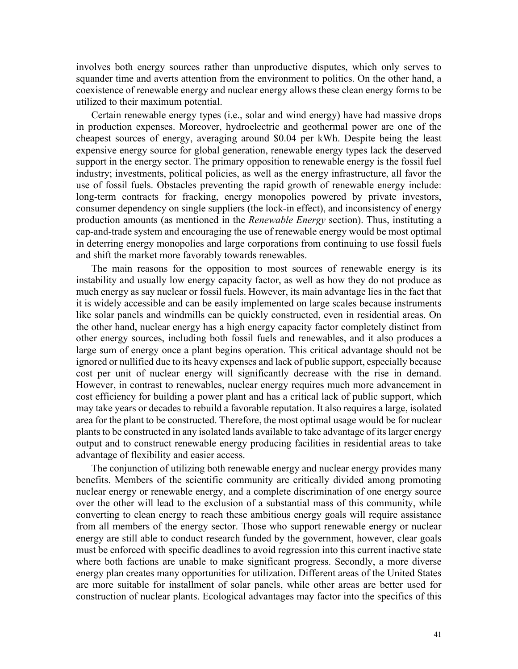involves both energy sources rather than unproductive disputes, which only serves to squander time and averts attention from the environment to politics. On the other hand, a coexistence of renewable energy and nuclear energy allows these clean energy forms to be utilized to their maximum potential.

Certain renewable energy types (i.e., solar and wind energy) have had massive drops in production expenses. Moreover, hydroelectric and geothermal power are one of the cheapest sources of energy, averaging around \$0.04 per kWh. Despite being the least expensive energy source for global generation, renewable energy types lack the deserved support in the energy sector. The primary opposition to renewable energy is the fossil fuel industry; investments, political policies, as well as the energy infrastructure, all favor the use of fossil fuels. Obstacles preventing the rapid growth of renewable energy include: long-term contracts for fracking, energy monopolies powered by private investors, consumer dependency on single suppliers (the lock-in effect), and inconsistency of energy production amounts (as mentioned in the *Renewable Energy* section). Thus, instituting a cap-and-trade system and encouraging the use of renewable energy would be most optimal in deterring energy monopolies and large corporations from continuing to use fossil fuels and shift the market more favorably towards renewables.

The main reasons for the opposition to most sources of renewable energy is its instability and usually low energy capacity factor, as well as how they do not produce as much energy as say nuclear or fossil fuels. However, its main advantage lies in the fact that it is widely accessible and can be easily implemented on large scales because instruments like solar panels and windmills can be quickly constructed, even in residential areas. On the other hand, nuclear energy has a high energy capacity factor completely distinct from other energy sources, including both fossil fuels and renewables, and it also produces a large sum of energy once a plant begins operation. This critical advantage should not be ignored or nullified due to its heavy expenses and lack of public support, especially because cost per unit of nuclear energy will significantly decrease with the rise in demand. However, in contrast to renewables, nuclear energy requires much more advancement in cost efficiency for building a power plant and has a critical lack of public support, which may take years or decades to rebuild a favorable reputation. It also requires a large, isolated area for the plant to be constructed. Therefore, the most optimal usage would be for nuclear plants to be constructed in any isolated lands available to take advantage of its larger energy output and to construct renewable energy producing facilities in residential areas to take advantage of flexibility and easier access.

The conjunction of utilizing both renewable energy and nuclear energy provides many benefits. Members of the scientific community are critically divided among promoting nuclear energy or renewable energy, and a complete discrimination of one energy source over the other will lead to the exclusion of a substantial mass of this community, while converting to clean energy to reach these ambitious energy goals will require assistance from all members of the energy sector. Those who support renewable energy or nuclear energy are still able to conduct research funded by the government, however, clear goals must be enforced with specific deadlines to avoid regression into this current inactive state where both factions are unable to make significant progress. Secondly, a more diverse energy plan creates many opportunities for utilization. Different areas of the United States are more suitable for installment of solar panels, while other areas are better used for construction of nuclear plants. Ecological advantages may factor into the specifics of this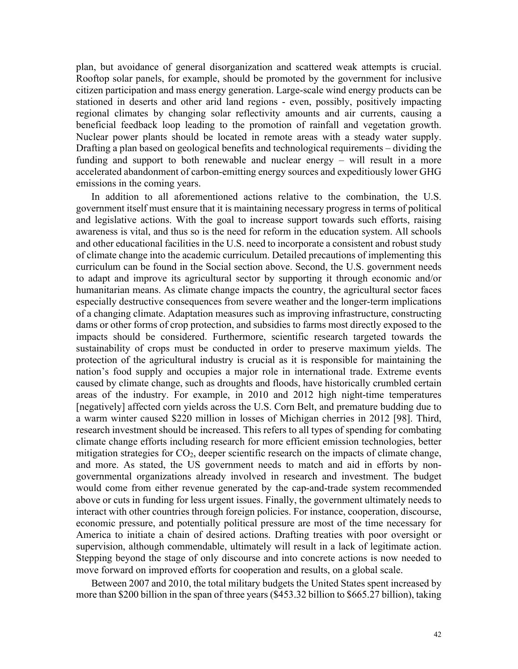plan, but avoidance of general disorganization and scattered weak attempts is crucial. Rooftop solar panels, for example, should be promoted by the government for inclusive citizen participation and mass energy generation. Large-scale wind energy products can be stationed in deserts and other arid land regions - even, possibly, positively impacting regional climates by changing solar reflectivity amounts and air currents, causing a beneficial feedback loop leading to the promotion of rainfall and vegetation growth. Nuclear power plants should be located in remote areas with a steady water supply. Drafting a plan based on geological benefits and technological requirements – dividing the funding and support to both renewable and nuclear energy – will result in a more accelerated abandonment of carbon-emitting energy sources and expeditiously lower GHG emissions in the coming years.

In addition to all aforementioned actions relative to the combination, the U.S. government itself must ensure that it is maintaining necessary progress in terms of political and legislative actions. With the goal to increase support towards such efforts, raising awareness is vital, and thus so is the need for reform in the education system. All schools and other educational facilities in the U.S. need to incorporate a consistent and robust study of climate change into the academic curriculum. Detailed precautions of implementing this curriculum can be found in the Social section above. Second, the U.S. government needs to adapt and improve its agricultural sector by supporting it through economic and/or humanitarian means. As climate change impacts the country, the agricultural sector faces especially destructive consequences from severe weather and the longer-term implications of a changing climate. Adaptation measures such as improving infrastructure, constructing dams or other forms of crop protection, and subsidies to farms most directly exposed to the impacts should be considered. Furthermore, scientific research targeted towards the sustainability of crops must be conducted in order to preserve maximum yields. The protection of the agricultural industry is crucial as it is responsible for maintaining the nation's food supply and occupies a major role in international trade. Extreme events caused by climate change, such as droughts and floods, have historically crumbled certain areas of the industry. For example, in 2010 and 2012 high night-time temperatures [negatively] affected corn yields across the U.S. Corn Belt, and premature budding due to a warm winter caused \$220 million in losses of Michigan cherries in 2012 [98]. Third, research investment should be increased. This refers to all types of spending for combating climate change efforts including research for more efficient emission technologies, better mitigation strategies for  $CO<sub>2</sub>$ , deeper scientific research on the impacts of climate change, and more. As stated, the US government needs to match and aid in efforts by nongovernmental organizations already involved in research and investment. The budget would come from either revenue generated by the cap-and-trade system recommended above or cuts in funding for less urgent issues. Finally, the government ultimately needs to interact with other countries through foreign policies. For instance, cooperation, discourse, economic pressure, and potentially political pressure are most of the time necessary for America to initiate a chain of desired actions. Drafting treaties with poor oversight or supervision, although commendable, ultimately will result in a lack of legitimate action. Stepping beyond the stage of only discourse and into concrete actions is now needed to move forward on improved efforts for cooperation and results, on a global scale.

Between 2007 and 2010, the total military budgets the United States spent increased by more than \$200 billion in the span of three years (\$453.32 billion to \$665.27 billion), taking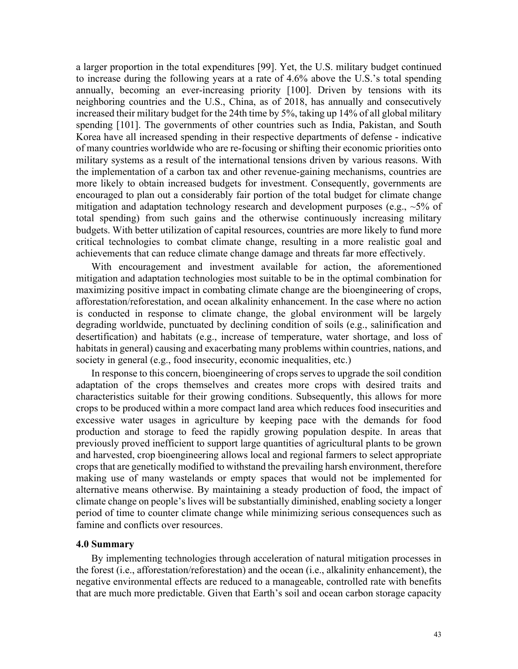a larger proportion in the total expenditures [99]. Yet, the U.S. military budget continued to increase during the following years at a rate of 4.6% above the U.S.'s total spending annually, becoming an ever-increasing priority [100]. Driven by tensions with its neighboring countries and the U.S., China, as of 2018, has annually and consecutively increased their military budget for the 24th time by 5%, taking up 14% of all global military spending [101]. The governments of other countries such as India, Pakistan, and South Korea have all increased spending in their respective departments of defense - indicative of many countries worldwide who are re-focusing or shifting their economic priorities onto military systems as a result of the international tensions driven by various reasons. With the implementation of a carbon tax and other revenue-gaining mechanisms, countries are more likely to obtain increased budgets for investment. Consequently, governments are encouraged to plan out a considerably fair portion of the total budget for climate change mitigation and adaptation technology research and development purposes (e.g.,  $\sim$ 5% of total spending) from such gains and the otherwise continuously increasing military budgets. With better utilization of capital resources, countries are more likely to fund more critical technologies to combat climate change, resulting in a more realistic goal and achievements that can reduce climate change damage and threats far more effectively.

With encouragement and investment available for action, the aforementioned mitigation and adaptation technologies most suitable to be in the optimal combination for maximizing positive impact in combating climate change are the bioengineering of crops, afforestation/reforestation, and ocean alkalinity enhancement. In the case where no action is conducted in response to climate change, the global environment will be largely degrading worldwide, punctuated by declining condition of soils (e.g., salinification and desertification) and habitats (e.g., increase of temperature, water shortage, and loss of habitats in general) causing and exacerbating many problems within countries, nations, and society in general (e.g., food insecurity, economic inequalities, etc.)

In response to this concern, bioengineering of crops serves to upgrade the soil condition adaptation of the crops themselves and creates more crops with desired traits and characteristics suitable for their growing conditions. Subsequently, this allows for more crops to be produced within a more compact land area which reduces food insecurities and excessive water usages in agriculture by keeping pace with the demands for food production and storage to feed the rapidly growing population despite. In areas that previously proved inefficient to support large quantities of agricultural plants to be grown and harvested, crop bioengineering allows local and regional farmers to select appropriate crops that are genetically modified to withstand the prevailing harsh environment, therefore making use of many wastelands or empty spaces that would not be implemented for alternative means otherwise. By maintaining a steady production of food, the impact of climate change on people's lives will be substantially diminished, enabling society a longer period of time to counter climate change while minimizing serious consequences such as famine and conflicts over resources.

### **4.0 Summary**

By implementing technologies through acceleration of natural mitigation processes in the forest (i.e., afforestation/reforestation) and the ocean (i.e., alkalinity enhancement), the negative environmental effects are reduced to a manageable, controlled rate with benefits that are much more predictable. Given that Earth's soil and ocean carbon storage capacity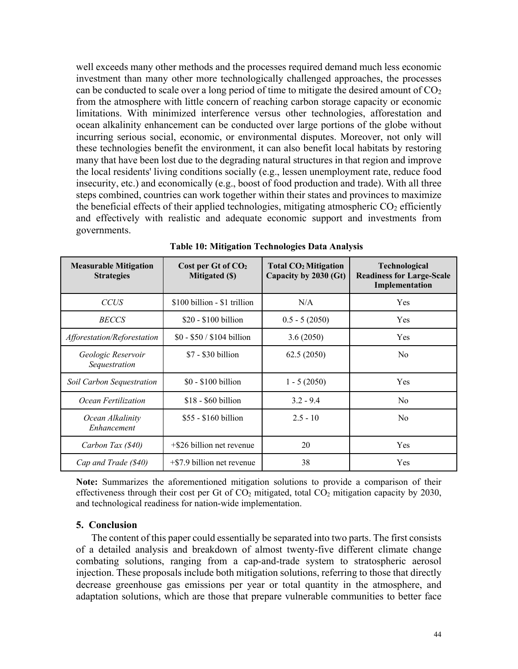well exceeds many other methods and the processes required demand much less economic investment than many other more technologically challenged approaches, the processes can be conducted to scale over a long period of time to mitigate the desired amount of  $CO<sub>2</sub>$ from the atmosphere with little concern of reaching carbon storage capacity or economic limitations. With minimized interference versus other technologies, afforestation and ocean alkalinity enhancement can be conducted over large portions of the globe without incurring serious social, economic, or environmental disputes. Moreover, not only will these technologies benefit the environment, it can also benefit local habitats by restoring many that have been lost due to the degrading natural structures in that region and improve the local residents' living conditions socially (e.g., lessen unemployment rate, reduce food insecurity, etc.) and economically (e.g., boost of food production and trade). With all three steps combined, countries can work together within their states and provinces to maximize the beneficial effects of their applied technologies, mitigating atmospheric  $CO<sub>2</sub>$  efficiently and effectively with realistic and adequate economic support and investments from governments.

| <b>Measurable Mitigation</b><br><b>Strategies</b> | Cost per Gt of CO <sub>2</sub><br>Mitigated (\$) | <b>Total CO<sub>2</sub></b> Mitigation<br>Capacity by 2030 (Gt) | <b>Technological</b><br><b>Readiness for Large-Scale</b><br>Implementation |
|---------------------------------------------------|--------------------------------------------------|-----------------------------------------------------------------|----------------------------------------------------------------------------|
| <b>CCUS</b>                                       | \$100 billion - \$1 trillion                     | N/A                                                             | Yes                                                                        |
| <b>BECCS</b>                                      | $$20 - $100$ billion                             | $0.5 - 5(2050)$                                                 | Yes                                                                        |
| Afforestation/Reforestation                       | $$0 - $50 / $104$ billion                        | 3.6(2050)                                                       | Yes                                                                        |
| Geologic Reservoir<br>Sequestration               | $$7 - $30$ billion                               | 62.5(2050)                                                      | N <sub>0</sub>                                                             |
| Soil Carbon Sequestration                         | $$0 - $100$ billion                              | $1 - 5(2050)$                                                   | Yes                                                                        |
| Ocean Fertilization                               | $$18 - $60$ billion                              | $3.2 - 9.4$                                                     | N <sub>o</sub>                                                             |
| Ocean Alkalinity<br>Enhancement                   | \$55 - \$160 billion                             | $2.5 - 10$                                                      | N <sub>o</sub>                                                             |
| Carbon Tax (\$40)                                 | $+$ \$26 billion net revenue                     | 20                                                              | Yes                                                                        |
| Cap and Trade (\$40)                              | $+$ \$7.9 billion net revenue                    | 38                                                              | Yes                                                                        |

**Table 10: Mitigation Technologies Data Analysis**

**Note:** Summarizes the aforementioned mitigation solutions to provide a comparison of their effectiveness through their cost per Gt of  $CO<sub>2</sub>$  mitigated, total  $CO<sub>2</sub>$  mitigation capacity by 2030, and technological readiness for nation-wide implementation.

### **5. Conclusion**

The content of this paper could essentially be separated into two parts. The first consists of a detailed analysis and breakdown of almost twenty-five different climate change combating solutions, ranging from a cap-and-trade system to stratospheric aerosol injection. These proposals include both mitigation solutions, referring to those that directly decrease greenhouse gas emissions per year or total quantity in the atmosphere, and adaptation solutions, which are those that prepare vulnerable communities to better face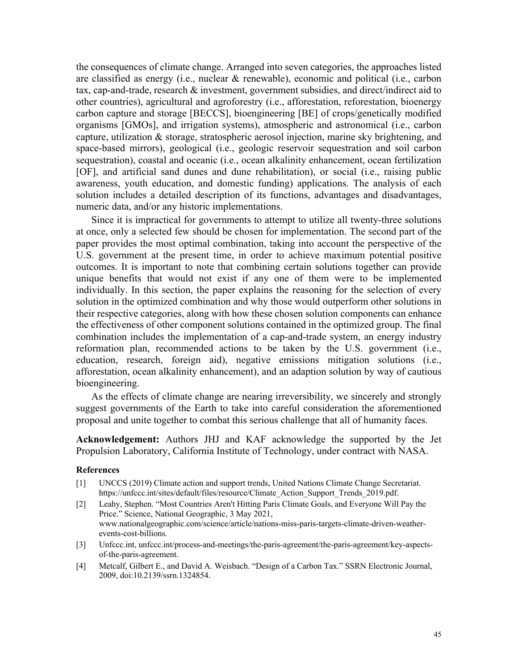the consequences of climate change. Arranged into seven categories, the approaches listed are classified as energy (i.e., nuclear & renewable), economic and political (i.e., carbon tax, cap-and-trade, research & investment, government subsidies, and direct/indirect aid to other countries), agricultural and agroforestry (i.e., afforestation, reforestation, bioenergy carbon capture and storage [BECCS], bioengineering [BE] of crops/genetically modified organisms [GMOs], and irrigation systems), atmospheric and astronomical (i.e., carbon capture, utilization & storage, stratospheric aerosol injection, marine sky brightening, and space-based mirrors), geological (i.e., geologic reservoir sequestration and soil carbon sequestration), coastal and oceanic (i.e., ocean alkalinity enhancement, ocean fertilization [OF], and artificial sand dunes and dune rehabilitation), or social (i.e., raising public awareness, youth education, and domestic funding) applications. The analysis of each solution includes a detailed description of its functions, advantages and disadvantages, numeric data, and/or any historic implementations.

Since it is impractical for governments to attempt to utilize all twenty-three solutions at once, only a selected few should be chosen for implementation. The second part of the paper provides the most optimal combination, taking into account the perspective of the U.S. government at the present time, in order to achieve maximum potential positive outcomes. It is important to note that combining certain solutions together can provide unique benefits that would not exist if any one of them were to be implemented individually. In this section, the paper explains the reasoning for the selection of every solution in the optimized combination and why those would outperform other solutions in their respective categories, along with how these chosen solution components can enhance the effectiveness of other component solutions contained in the optimized group. The final combination includes the implementation of a cap-and-trade system, an energy industry reformation plan, recommended actions to be taken by the U.S. government (i.e., education, research, foreign aid), negative emissions mitigation solutions (i.e., afforestation, ocean alkalinity enhancement), and an adaption solution by way of cautious bioengineering.

As the effects of climate change are nearing irreversibility, we sincerely and strongly suggest governments of the Earth to take into careful consideration the aforementioned proposal and unite together to combat this serious challenge that all of humanity faces.

**Acknowledgement:** Authors JHJ and KAF acknowledge the supported by the Jet Propulsion Laboratory, California Institute of Technology, under contract with NASA.

#### **References**

- [1] UNCCS (2019) Climate action and support trends, United Nations Climate Change Secretariat. https://unfccc.int/sites/default/files/resource/Climate\_Action\_Support\_Trends\_2019.pdf.
- [2] Leahy, Stephen. "Most Countries Aren't Hitting Paris Climate Goals, and Everyone Will Pay the Price." Science, National Geographic, 3 May 2021, www.nationalgeographic.com/science/article/nations-miss-paris-targets-climate-driven-weatherevents-cost-billions.
- [3] Unfccc.int, unfccc.int/process-and-meetings/the-paris-agreement/the-paris-agreement/key-aspectsof-the-paris-agreement.
- [4] Metcalf, Gilbert E., and David A. Weisbach. "Design of a Carbon Tax." SSRN Electronic Journal, 2009, doi:10.2139/ssrn.1324854.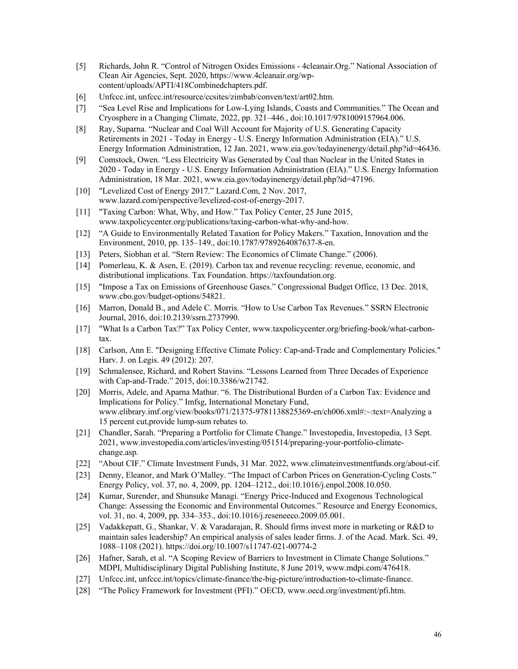- [5] Richards, John R. "Control of Nitrogen Oxides Emissions 4cleanair.Org." National Association of Clean Air Agencies, Sept. 2020, https://www.4cleanair.org/wpcontent/uploads/APTI/418Combinedchapters.pdf.
- [6] Unfccc.int, unfccc.int/resource/ccsites/zimbab/conven/text/art02.htm.
- [7] "Sea Level Rise and Implications for Low-Lying Islands, Coasts and Communities." The Ocean and Cryosphere in a Changing Climate, 2022, pp. 321–446., doi:10.1017/9781009157964.006.
- [8] Ray, Suparna. "Nuclear and Coal Will Account for Majority of U.S. Generating Capacity Retirements in 2021 - Today in Energy - U.S. Energy Information Administration (EIA)." U.S. Energy Information Administration, 12 Jan. 2021, www.eia.gov/todayinenergy/detail.php?id=46436.
- [9] Comstock, Owen. "Less Electricity Was Generated by Coal than Nuclear in the United States in 2020 - Today in Energy - U.S. Energy Information Administration (EIA)." U.S. Energy Information Administration, 18 Mar. 2021, www.eia.gov/todayinenergy/detail.php?id=47196.
- [10] "Levelized Cost of Energy 2017." Lazard.Com, 2 Nov. 2017, www.lazard.com/perspective/levelized-cost-of-energy-2017.
- [11] "Taxing Carbon: What, Why, and How." Tax Policy Center, 25 June 2015, www.taxpolicycenter.org/publications/taxing-carbon-what-why-and-how.
- [12] "A Guide to Environmentally Related Taxation for Policy Makers." Taxation, Innovation and the Environment, 2010, pp. 135–149., doi:10.1787/9789264087637-8-en.
- [13] Peters, Siobhan et al. "Stern Review: The Economics of Climate Change." (2006).
- [14] Pomerleau, K. & Asen, E. (2019). Carbon tax and revenue recycling: revenue, economic, and distributional implications. Tax Foundation. https://taxfoundation.org.
- [15] "Impose a Tax on Emissions of Greenhouse Gases." Congressional Budget Office, 13 Dec. 2018, www.cbo.gov/budget-options/54821.
- [16] Marron, Donald B., and Adele C. Morris. "How to Use Carbon Tax Revenues." SSRN Electronic Journal, 2016, doi:10.2139/ssrn.2737990.
- [17] "What Is a Carbon Tax?" Tax Policy Center, www.taxpolicycenter.org/briefing-book/what-carbontax.
- [18] Carlson, Ann E. "Designing Effective Climate Policy: Cap-and-Trade and Complementary Policies." Harv. J. on Legis. 49 (2012): 207.
- [19] Schmalensee, Richard, and Robert Stavins. "Lessons Learned from Three Decades of Experience with Cap-and-Trade." 2015, doi:10.3386/w21742.
- [20] Morris, Adele, and Aparna Mathur. "6. The Distributional Burden of a Carbon Tax: Evidence and Implications for Policy." Imfsg, International Monetary Fund, www.elibrary.imf.org/view/books/071/21375-9781138825369-en/ch006.xml#:~:text=Analyzing a 15 percent cut,provide lump-sum rebates to.
- [21] Chandler, Sarah. "Preparing a Portfolio for Climate Change." Investopedia, Investopedia, 13 Sept. 2021, www.investopedia.com/articles/investing/051514/preparing-your-portfolio-climatechange.asp.
- [22] "About CIF." Climate Investment Funds, 31 Mar. 2022, www.climateinvestmentfunds.org/about-cif.
- [23] Denny, Eleanor, and Mark O'Malley. "The Impact of Carbon Prices on Generation-Cycling Costs." Energy Policy, vol. 37, no. 4, 2009, pp. 1204–1212., doi:10.1016/j.enpol.2008.10.050.
- [24] Kumar, Surender, and Shunsuke Managi. "Energy Price-Induced and Exogenous Technological Change: Assessing the Economic and Environmental Outcomes." Resource and Energy Economics, vol. 31, no. 4, 2009, pp. 334–353., doi:10.1016/j.reseneeco.2009.05.001.
- [25] Vadakkepatt, G., Shankar, V. & Varadarajan, R. Should firms invest more in marketing or R&D to maintain sales leadership? An empirical analysis of sales leader firms. J. of the Acad. Mark. Sci. 49, 1088–1108 (2021). https://doi.org/10.1007/s11747-021-00774-2
- [26] Hafner, Sarah, et al. "A Scoping Review of Barriers to Investment in Climate Change Solutions." MDPI, Multidisciplinary Digital Publishing Institute, 8 June 2019, www.mdpi.com/476418.
- [27] Unfccc.int, unfccc.int/topics/climate-finance/the-big-picture/introduction-to-climate-finance.
- [28] "The Policy Framework for Investment (PFI)." OECD, www.oecd.org/investment/pfi.htm.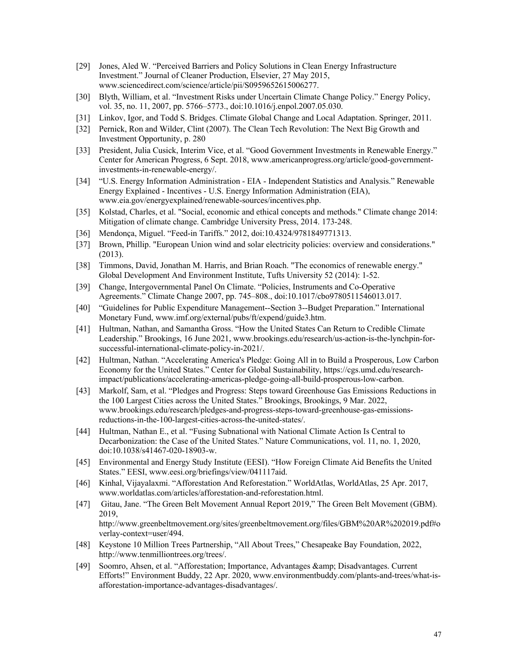- [29] Jones, Aled W. "Perceived Barriers and Policy Solutions in Clean Energy Infrastructure Investment." Journal of Cleaner Production, Elsevier, 27 May 2015, www.sciencedirect.com/science/article/pii/S0959652615006277.
- [30] Blyth, William, et al. "Investment Risks under Uncertain Climate Change Policy." Energy Policy, vol. 35, no. 11, 2007, pp. 5766–5773., doi:10.1016/j.enpol.2007.05.030.
- [31] Linkov, Igor, and Todd S. Bridges. Climate Global Change and Local Adaptation. Springer, 2011.
- [32] Pernick, Ron and Wilder, Clint (2007). The Clean Tech Revolution: The Next Big Growth and Investment Opportunity, p. 280
- [33] President, Julia Cusick, Interim Vice, et al. "Good Government Investments in Renewable Energy." Center for American Progress, 6 Sept. 2018, www.americanprogress.org/article/good-governmentinvestments-in-renewable-energy/.
- [34] "U.S. Energy Information Administration EIA Independent Statistics and Analysis." Renewable Energy Explained - Incentives - U.S. Energy Information Administration (EIA), www.eia.gov/energyexplained/renewable-sources/incentives.php.
- [35] Kolstad, Charles, et al. "Social, economic and ethical concepts and methods." Climate change 2014: Mitigation of climate change. Cambridge University Press, 2014. 173-248.
- [36] Mendonça, Miguel. "Feed-in Tariffs." 2012, doi:10.4324/9781849771313.
- [37] Brown, Phillip. "European Union wind and solar electricity policies: overview and considerations." (2013).
- [38] Timmons, David, Jonathan M. Harris, and Brian Roach. "The economics of renewable energy." Global Development And Environment Institute, Tufts University 52 (2014): 1-52.
- [39] Change, Intergovernmental Panel On Climate. "Policies, Instruments and Co-Operative Agreements." Climate Change 2007, pp. 745–808., doi:10.1017/cbo9780511546013.017.
- [40] "Guidelines for Public Expenditure Management--Section 3--Budget Preparation." International Monetary Fund, www.imf.org/external/pubs/ft/expend/guide3.htm.
- [41] Hultman, Nathan, and Samantha Gross. "How the United States Can Return to Credible Climate Leadership." Brookings, 16 June 2021, www.brookings.edu/research/us-action-is-the-lynchpin-forsuccessful-international-climate-policy-in-2021/.
- [42] Hultman, Nathan. "Accelerating America's Pledge: Going All in to Build a Prosperous, Low Carbon Economy for the United States." Center for Global Sustainability, https://cgs.umd.edu/researchimpact/publications/accelerating-americas-pledge-going-all-build-prosperous-low-carbon.
- [43] Markolf, Sam, et al. "Pledges and Progress: Steps toward Greenhouse Gas Emissions Reductions in the 100 Largest Cities across the United States." Brookings, Brookings, 9 Mar. 2022, www.brookings.edu/research/pledges-and-progress-steps-toward-greenhouse-gas-emissionsreductions-in-the-100-largest-cities-across-the-united-states/.
- [44] Hultman, Nathan E., et al. "Fusing Subnational with National Climate Action Is Central to Decarbonization: the Case of the United States." Nature Communications, vol. 11, no. 1, 2020, doi:10.1038/s41467-020-18903-w.
- [45] Environmental and Energy Study Institute (EESI). "How Foreign Climate Aid Benefits the United States." EESI, www.eesi.org/briefings/view/041117aid.
- [46] Kinhal, Vijayalaxmi. "Afforestation And Reforestation." WorldAtlas, WorldAtlas, 25 Apr. 2017, www.worldatlas.com/articles/afforestation-and-reforestation.html.
- [47] Gitau, Jane. "The Green Belt Movement Annual Report 2019," The Green Belt Movement (GBM). 2019, http://www.greenbeltmovement.org/sites/greenbeltmovement.org/files/GBM%20AR%202019.pdf#o verlay-context=user/494.
- [48] Keystone 10 Million Trees Partnership, "All About Trees," Chesapeake Bay Foundation, 2022, http://www.tenmilliontrees.org/trees/.
- [49] Soomro, Ahsen, et al. "Afforestation; Importance, Advantages & amp; Disadvantages. Current Efforts!" Environment Buddy, 22 Apr. 2020, www.environmentbuddy.com/plants-and-trees/what-isafforestation-importance-advantages-disadvantages/.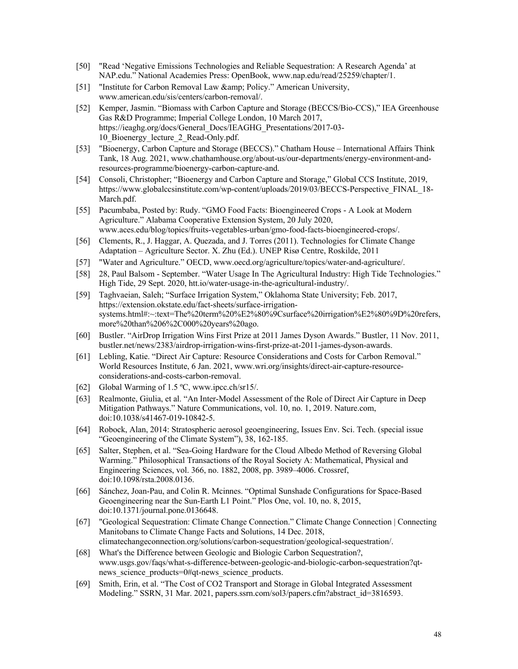- [50] "Read 'Negative Emissions Technologies and Reliable Sequestration: A Research Agenda' at NAP.edu." National Academies Press: OpenBook, www.nap.edu/read/25259/chapter/1.
- [51] "Institute for Carbon Removal Law & amp; Policy." American University, www.american.edu/sis/centers/carbon-removal/.
- [52] Kemper, Jasmin. "Biomass with Carbon Capture and Storage (BECCS/Bio-CCS)," IEA Greenhouse Gas R&D Programme; Imperial College London, 10 March 2017, https://ieaghg.org/docs/General\_Docs/IEAGHG\_Presentations/2017-03- 10 Bioenergy lecture 2 Read-Only.pdf.
- [53] "Bioenergy, Carbon Capture and Storage (BECCS)." Chatham House International Affairs Think Tank, 18 Aug. 2021, www.chathamhouse.org/about-us/our-departments/energy-environment-andresources-programme/bioenergy-carbon-capture-and.
- [54] Consoli, Christopher; "Bioenergy and Carbon Capture and Storage," Global CCS Institute, 2019, https://www.globalccsinstitute.com/wp-content/uploads/2019/03/BECCS-Perspective\_FINAL\_18- March.pdf.
- [55] Pacumbaba, Posted by: Rudy. "GMO Food Facts: Bioengineered Crops A Look at Modern Agriculture." Alabama Cooperative Extension System, 20 July 2020, www.aces.edu/blog/topics/fruits-vegetables-urban/gmo-food-facts-bioengineered-crops/.
- [56] Clements, R., J. Haggar, A. Quezada, and J. Torres (2011). Technologies for Climate Change Adaptation – Agriculture Sector. X. Zhu (Ed.). UNEP Risø Centre, Roskilde, 2011
- [57] "Water and Agriculture." OECD, www.oecd.org/agriculture/topics/water-and-agriculture/.
- [58] 28, Paul Balsom September. "Water Usage In The Agricultural Industry: High Tide Technologies." High Tide, 29 Sept. 2020, htt.io/water-usage-in-the-agricultural-industry/.
- [59] Taghvaeian, Saleh; "Surface Irrigation System," Oklahoma State University; Feb. 2017, https://extension.okstate.edu/fact-sheets/surface-irrigationsystems.html#:~:text=The%20term%20%E2%80%9Csurface%20irrigation%E2%80%9D%20refers, more%20than%206%2C000%20years%20ago.
- [60] Bustler. "AirDrop Irrigation Wins First Prize at 2011 James Dyson Awards." Bustler, 11 Nov. 2011, bustler.net/news/2383/airdrop-irrigation-wins-first-prize-at-2011-james-dyson-awards.
- [61] Lebling, Katie. "Direct Air Capture: Resource Considerations and Costs for Carbon Removal." World Resources Institute, 6 Jan. 2021, www.wri.org/insights/direct-air-capture-resourceconsiderations-and-costs-carbon-removal.
- [62] Global Warming of 1.5 °C, www.ipcc.ch/sr15/.
- [63] Realmonte, Giulia, et al. "An Inter-Model Assessment of the Role of Direct Air Capture in Deep Mitigation Pathways." Nature Communications, vol. 10, no. 1, 2019. Nature.com, doi:10.1038/s41467-019-10842-5.
- [64] Robock, Alan, 2014: Stratospheric aerosol geoengineering, Issues Env. Sci. Tech. (special issue "Geoengineering of the Climate System"), 38, 162-185.
- [65] Salter, Stephen, et al. "Sea-Going Hardware for the Cloud Albedo Method of Reversing Global Warming." Philosophical Transactions of the Royal Society A: Mathematical, Physical and Engineering Sciences, vol. 366, no. 1882, 2008, pp. 3989–4006. Crossref, doi:10.1098/rsta.2008.0136.
- [66] Sánchez, Joan-Pau, and Colin R. Mcinnes. "Optimal Sunshade Configurations for Space-Based Geoengineering near the Sun-Earth L1 Point." Plos One, vol. 10, no. 8, 2015, doi:10.1371/journal.pone.0136648.
- [67] "Geological Sequestration: Climate Change Connection." Climate Change Connection | Connecting Manitobans to Climate Change Facts and Solutions, 14 Dec. 2018, climatechangeconnection.org/solutions/carbon-sequestration/geological-sequestration/.
- [68] What's the Difference between Geologic and Biologic Carbon Sequestration?, www.usgs.gov/faqs/what-s-difference-between-geologic-and-biologic-carbon-sequestration?qtnews science products=0#qt-news science products.
- [69] Smith, Erin, et al. "The Cost of CO2 Transport and Storage in Global Integrated Assessment Modeling." SSRN, 31 Mar. 2021, papers.ssrn.com/sol3/papers.cfm?abstract\_id=3816593.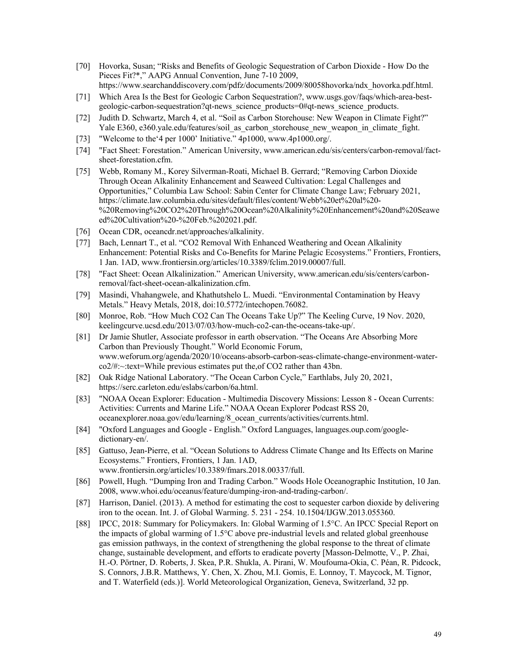- [70] Hovorka, Susan; "Risks and Benefits of Geologic Sequestration of Carbon Dioxide How Do the Pieces Fit?\*," AAPG Annual Convention, June 7-10 2009, https://www.searchanddiscovery.com/pdfz/documents/2009/80058hovorka/ndx\_hovorka.pdf.html.
- [71] Which Area Is the Best for Geologic Carbon Sequestration?, www.usgs.gov/faqs/which-area-bestgeologic-carbon-sequestration?qt-news\_science\_products=0#qt-news\_science\_products.
- [72] Judith D. Schwartz, March 4, et al. "Soil as Carbon Storehouse: New Weapon in Climate Fight?" Yale E360, e360.yale.edu/features/soil\_as\_carbon\_storehouse\_new\_weapon\_in\_climate\_fight.
- [73] "Welcome to the'4 per 1000' Initiative." 4p1000, www.4p1000.org/.
- [74] "Fact Sheet: Forestation." American University, www.american.edu/sis/centers/carbon-removal/factsheet-forestation.cfm.
- [75] Webb, Romany M., Korey Silverman-Roati, Michael B. Gerrard; "Removing Carbon Dioxide Through Ocean Alkalinity Enhancement and Seaweed Cultivation: Legal Challenges and Opportunities," Columbia Law School: Sabin Center for Climate Change Law; February 2021, https://climate.law.columbia.edu/sites/default/files/content/Webb%20et%20al%20- %20Removing%20CO2%20Through%20Ocean%20Alkalinity%20Enhancement%20and%20Seawe ed%20Cultivation%20-%20Feb.%202021.pdf.
- [76] Ocean CDR, oceancdr.net/approaches/alkalinity.
- [77] Bach, Lennart T., et al. "CO2 Removal With Enhanced Weathering and Ocean Alkalinity Enhancement: Potential Risks and Co-Benefits for Marine Pelagic Ecosystems." Frontiers, Frontiers, 1 Jan. 1AD, www.frontiersin.org/articles/10.3389/fclim.2019.00007/full.
- [78] "Fact Sheet: Ocean Alkalinization." American University, www.american.edu/sis/centers/carbonremoval/fact-sheet-ocean-alkalinization.cfm.
- [79] Masindi, Vhahangwele, and Khathutshelo L. Muedi. "Environmental Contamination by Heavy Metals." Heavy Metals, 2018, doi:10.5772/intechopen.76082.
- [80] Monroe, Rob. "How Much CO2 Can The Oceans Take Up?" The Keeling Curve, 19 Nov. 2020, keelingcurve.ucsd.edu/2013/07/03/how-much-co2-can-the-oceans-take-up/.
- [81] Dr Jamie Shutler, Associate professor in earth observation. "The Oceans Are Absorbing More Carbon than Previously Thought." World Economic Forum, www.weforum.org/agenda/2020/10/oceans-absorb-carbon-seas-climate-change-environment-waterco2/#:~:text=While previous estimates put the,of CO2 rather than 43bn.
- [82] Oak Ridge National Laboratory. "The Ocean Carbon Cycle," Earthlabs, July 20, 2021, https://serc.carleton.edu/eslabs/carbon/6a.html.
- [83] "NOAA Ocean Explorer: Education Multimedia Discovery Missions: Lesson 8 Ocean Currents: Activities: Currents and Marine Life." NOAA Ocean Explorer Podcast RSS 20, oceanexplorer.noaa.gov/edu/learning/8\_ocean\_currents/activities/currents.html.
- [84] "Oxford Languages and Google English." Oxford Languages, languages.oup.com/googledictionary-en/.
- [85] Gattuso, Jean-Pierre, et al. "Ocean Solutions to Address Climate Change and Its Effects on Marine Ecosystems." Frontiers, Frontiers, 1 Jan. 1AD, www.frontiersin.org/articles/10.3389/fmars.2018.00337/full.
- [86] Powell, Hugh. "Dumping Iron and Trading Carbon." Woods Hole Oceanographic Institution, 10 Jan. 2008, www.whoi.edu/oceanus/feature/dumping-iron-and-trading-carbon/.
- [87] Harrison, Daniel. (2013). A method for estimating the cost to sequester carbon dioxide by delivering iron to the ocean. Int. J. of Global Warming. 5. 231 - 254. 10.1504/IJGW.2013.055360.
- [88] IPCC, 2018: Summary for Policymakers. In: Global Warming of 1.5°C. An IPCC Special Report on the impacts of global warming of 1.5°C above pre-industrial levels and related global greenhouse gas emission pathways, in the context of strengthening the global response to the threat of climate change, sustainable development, and efforts to eradicate poverty [Masson-Delmotte, V., P. Zhai, H.-O. Pörtner, D. Roberts, J. Skea, P.R. Shukla, A. Pirani, W. Moufouma-Okia, C. Péan, R. Pidcock, S. Connors, J.B.R. Matthews, Y. Chen, X. Zhou, M.I. Gomis, E. Lonnoy, T. Maycock, M. Tignor, and T. Waterfield (eds.)]. World Meteorological Organization, Geneva, Switzerland, 32 pp.